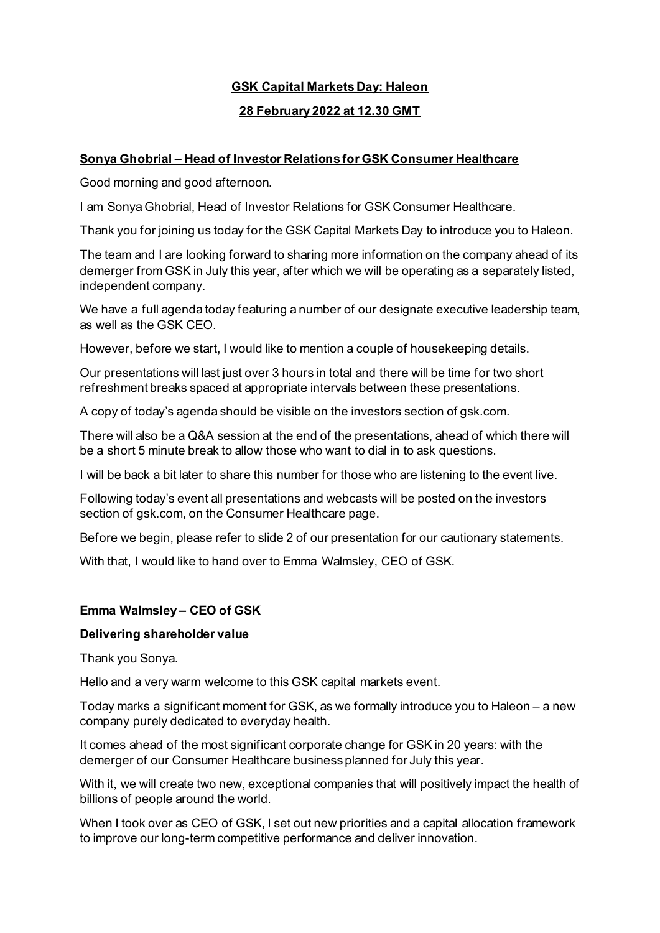# **GSK Capital Markets Day: Haleon**

# **28 February 2022 at 12.30 GMT**

# **Sonya Ghobrial – Head of Investor Relations for GSK Consumer Healthcare**

Good morning and good afternoon.

I am Sonya Ghobrial, Head of Investor Relations for GSK Consumer Healthcare.

Thank you for joining us today for the GSK Capital Markets Day to introduce you to Haleon.

The team and I are looking forward to sharing more information on the company ahead of its demerger from GSK in July this year, after which we will be operating as a separately listed, independent company.

We have a full agenda today featuring a number of our designate executive leadership team, as well as the GSK CEO.

However, before we start, I would like to mention a couple of housekeeping details.

Our presentations will last just over 3 hours in total and there will be time for two short refreshment breaks spaced at appropriate intervals between these presentations.

A copy of today's agenda should be visible on the investors section of gsk.com.

There will also be a Q&A session at the end of the presentations, ahead of which there will be a short 5 minute break to allow those who want to dial in to ask questions.

I will be back a bit later to share this number for those who are listening to the event live.

Following today's event all presentations and webcasts will be posted on the investors section of gsk.com, on the Consumer Healthcare page.

Before we begin, please refer to slide 2 of our presentation for our cautionary statements.

With that, I would like to hand over to Emma Walmsley, CEO of GSK.

## **Emma Walmsley – CEO of GSK**

#### **Delivering shareholder value**

Thank you Sonya.

Hello and a very warm welcome to this GSK capital markets event.

Today marks a significant moment for GSK, as we formally introduce you to Haleon – a new company purely dedicated to everyday health.

It comes ahead of the most significant corporate change for GSK in 20 years: with the demerger of our Consumer Healthcare business planned for July this year.

With it, we will create two new, exceptional companies that will positively impact the health of billions of people around the world.

When I took over as CEO of GSK, I set out new priorities and a capital allocation framework to improve our long-term competitive performance and deliver innovation.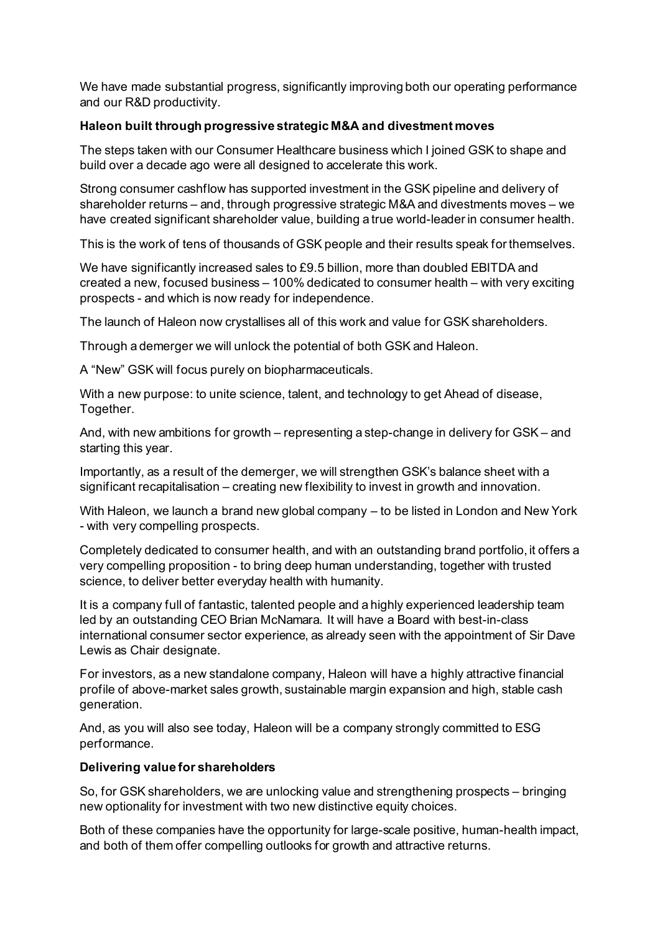We have made substantial progress, significantly improving both our operating performance and our R&D productivity.

## **Haleon built through progressive strategic M&A and divestment moves**

The steps taken with our Consumer Healthcare business which I joined GSK to shape and build over a decade ago were all designed to accelerate this work.

Strong consumer cashflow has supported investment in the GSK pipeline and delivery of shareholder returns – and, through progressive strategic M&A and divestments moves – we have created significant shareholder value, building a true world-leader in consumer health.

This is the work of tens of thousands of GSK people and their results speak for themselves.

We have significantly increased sales to £9.5 billion, more than doubled EBITDA and created a new, focused business – 100% dedicated to consumer health – with very exciting prospects - and which is now ready for independence.

The launch of Haleon now crystallises all of this work and value for GSK shareholders.

Through a demerger we will unlock the potential of both GSK and Haleon.

A "New" GSK will focus purely on biopharmaceuticals.

With a new purpose: to unite science, talent, and technology to get Ahead of disease, Together.

And, with new ambitions for growth – representing a step-change in delivery for GSK – and starting this year.

Importantly, as a result of the demerger, we will strengthen GSK's balance sheet with a significant recapitalisation – creating new flexibility to invest in growth and innovation.

With Haleon, we launch a brand new global company – to be listed in London and New York - with very compelling prospects.

Completely dedicated to consumer health, and with an outstanding brand portfolio, it offers a very compelling proposition - to bring deep human understanding, together with trusted science, to deliver better everyday health with humanity.

It is a company full of fantastic, talented people and a highly experienced leadership team led by an outstanding CEO Brian McNamara. It will have a Board with best-in-class international consumer sector experience, as already seen with the appointment of Sir Dave Lewis as Chair designate.

For investors, as a new standalone company, Haleon will have a highly attractive financial profile of above-market sales growth, sustainable margin expansion and high, stable cash generation.

And, as you will also see today, Haleon will be a company strongly committed to ESG performance.

#### **Delivering value for shareholders**

So, for GSK shareholders, we are unlocking value and strengthening prospects – bringing new optionality for investment with two new distinctive equity choices.

Both of these companies have the opportunity for large-scale positive, human-health impact, and both of them offer compelling outlooks for growth and attractive returns.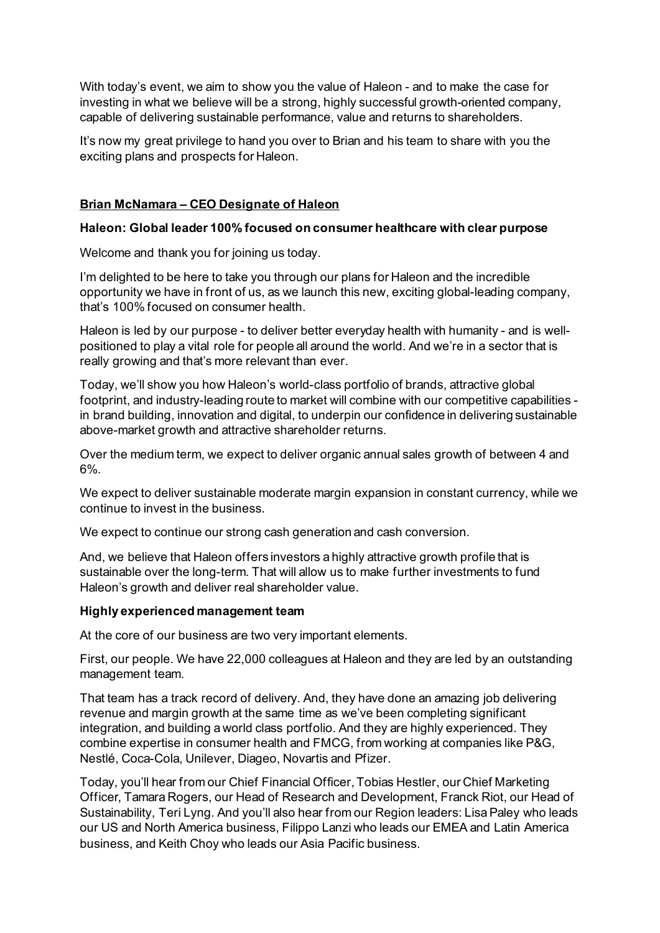With today's event, we aim to show you the value of Haleon - and to make the case for investing in what we believe will be a strong, highly successful growth-oriented company, capable of delivering sustainable performance, value and returns to shareholders.

It's now my great privilege to hand you over to Brian and his team to share with you the exciting plans and prospects for Haleon.

# **Brian McNamara – CEO Designate of Haleon**

## **Haleon: Global leader 100% focused on consumer healthcare with clear purpose**

Welcome and thank you for joining us today.

I'm delighted to be here to take you through our plans for Haleon and the incredible opportunity we have in front of us, as we launch this new, exciting global-leading company, that's 100% focused on consumer health.

Haleon is led by our purpose - to deliver better everyday health with humanity - and is wellpositioned to play a vital role for people all around the world. And we're in a sector that is really growing and that's more relevant than ever.

Today, we'll show you how Haleon's world-class portfolio of brands, attractive global footprint, and industry-leading route to market will combine with our competitive capabilities in brand building, innovation and digital, to underpin our confidence in delivering sustainable above-market growth and attractive shareholder returns.

Over the medium term, we expect to deliver organic annual sales growth of between 4 and 6%.

We expect to deliver sustainable moderate margin expansion in constant currency, while we continue to invest in the business.

We expect to continue our strong cash generation and cash conversion.

And, we believe that Haleon offers investors a highly attractive growth profile that is sustainable over the long-term. That will allow us to make further investments to fund Haleon's growth and deliver real shareholder value.

## **Highly experienced management team**

At the core of our business are two very important elements.

First, our people. We have 22,000 colleagues at Haleon and they are led by an outstanding management team.

That team has a track record of delivery. And, they have done an amazing job delivering revenue and margin growth at the same time as we've been completing significant integration, and building a world class portfolio. And they are highly experienced. They combine expertise in consumer health and FMCG, from working at companies like P&G, Nestlé, Coca-Cola, Unilever, Diageo, Novartis and Pfizer.

Today, you'll hear from our Chief Financial Officer, Tobias Hestler, our Chief Marketing Officer, Tamara Rogers, our Head of Research and Development, Franck Riot, our Head of Sustainability, Teri Lyng. And you'll also hear from our Region leaders: Lisa Paley who leads our US and North America business, Filippo Lanzi who leads our EMEA and Latin America business, and Keith Choy who leads our Asia Pacific business.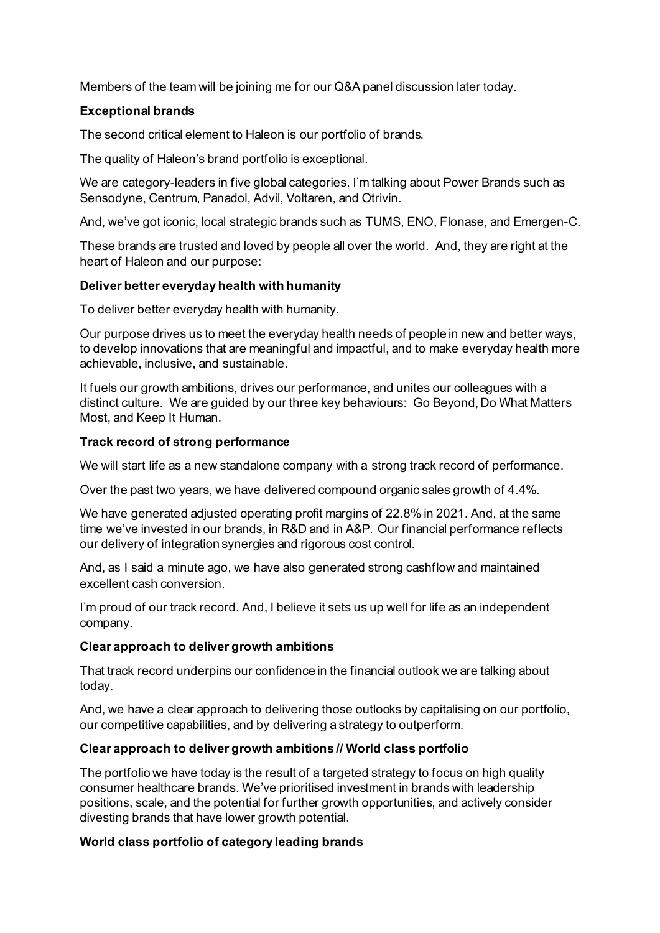Members of the team will be joining me for our Q&A panel discussion later today.

# **Exceptional brands**

The second critical element to Haleon is our portfolio of brands.

The quality of Haleon's brand portfolio is exceptional.

We are category-leaders in five global categories. I'm talking about Power Brands such as Sensodyne, Centrum, Panadol, Advil, Voltaren, and Otrivin.

And, we've got iconic, local strategic brands such as TUMS, ENO, Flonase, and Emergen-C.

These brands are trusted and loved by people all over the world. And, they are right at the heart of Haleon and our purpose:

# **Deliver better everyday health with humanity**

To deliver better everyday health with humanity.

Our purpose drives us to meet the everyday health needs of people in new and better ways, to develop innovations that are meaningful and impactful, and to make everyday health more achievable, inclusive, and sustainable.

It fuels our growth ambitions, drives our performance, and unites our colleagues with a distinct culture. We are guided by our three key behaviours: Go Beyond, Do What Matters Most, and Keep It Human.

# **Track record of strong performance**

We will start life as a new standalone company with a strong track record of performance.

Over the past two years, we have delivered compound organic sales growth of 4.4%.

We have generated adjusted operating profit margins of 22.8% in 2021. And, at the same time we've invested in our brands, in R&D and in A&P. Our financial performance reflects our delivery of integration synergies and rigorous cost control.

And, as I said a minute ago, we have also generated strong cashflow and maintained excellent cash conversion.

I'm proud of our track record. And, I believe it sets us up well for life as an independent company.

## **Clear approach to deliver growth ambitions**

That track record underpins our confidence in the financial outlook we are talking about today.

And, we have a clear approach to delivering those outlooks by capitalising on our portfolio, our competitive capabilities, and by delivering a strategy to outperform.

# **Clear approach to deliver growth ambitions // World class portfolio**

The portfolio we have today is the result of a targeted strategy to focus on high quality consumer healthcare brands. We've prioritised investment in brands with leadership positions, scale, and the potential for further growth opportunities, and actively consider divesting brands that have lower growth potential.

## **World class portfolio of category leading brands**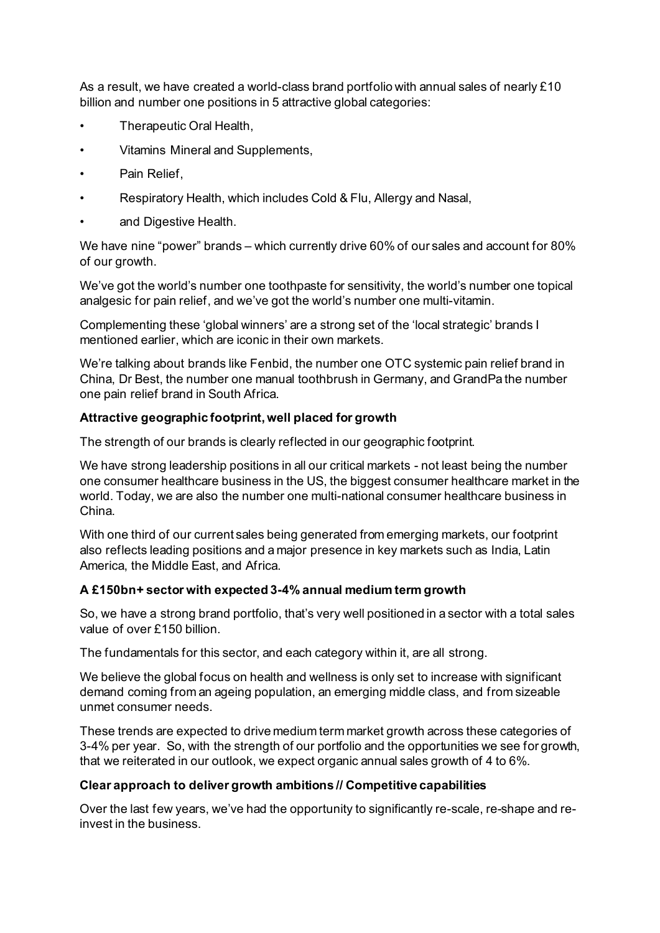As a result, we have created a world-class brand portfolio with annual sales of nearly £10 billion and number one positions in 5 attractive global categories:

- Therapeutic Oral Health,
- Vitamins Mineral and Supplements,
- Pain Relief.
- Respiratory Health, which includes Cold & Flu, Allergy and Nasal,
- and Digestive Health.

We have nine "power" brands – which currently drive 60% of our sales and account for 80% of our growth.

We've got the world's number one toothpaste for sensitivity, the world's number one topical analgesic for pain relief, and we've got the world's number one multi-vitamin.

Complementing these 'global winners' are a strong set of the 'local strategic' brands I mentioned earlier, which are iconic in their own markets.

We're talking about brands like Fenbid, the number one OTC systemic pain relief brand in China, Dr Best, the number one manual toothbrush in Germany, and GrandPa the number one pain relief brand in South Africa.

## **Attractive geographic footprint, well placed for growth**

The strength of our brands is clearly reflected in our geographic footprint.

We have strong leadership positions in all our critical markets - not least being the number one consumer healthcare business in the US, the biggest consumer healthcare market in the world. Today, we are also the number one multi-national consumer healthcare business in China.

With one third of our current sales being generated from emerging markets, our footprint also reflects leading positions and a major presence in key markets such as India, Latin America, the Middle East, and Africa.

## **A £150bn+ sector with expected 3-4% annual medium term growth**

So, we have a strong brand portfolio, that's very well positioned in a sector with a total sales value of over £150 billion.

The fundamentals for this sector, and each category within it, are all strong.

We believe the global focus on health and wellness is only set to increase with significant demand coming from an ageing population, an emerging middle class, and from sizeable unmet consumer needs.

These trends are expected to drive medium term market growth across these categories of 3-4% per year. So, with the strength of our portfolio and the opportunities we see for growth, that we reiterated in our outlook, we expect organic annual sales growth of 4 to 6%.

## **Clear approach to deliver growth ambitions // Competitive capabilities**

Over the last few years, we've had the opportunity to significantly re-scale, re-shape and reinvest in the business.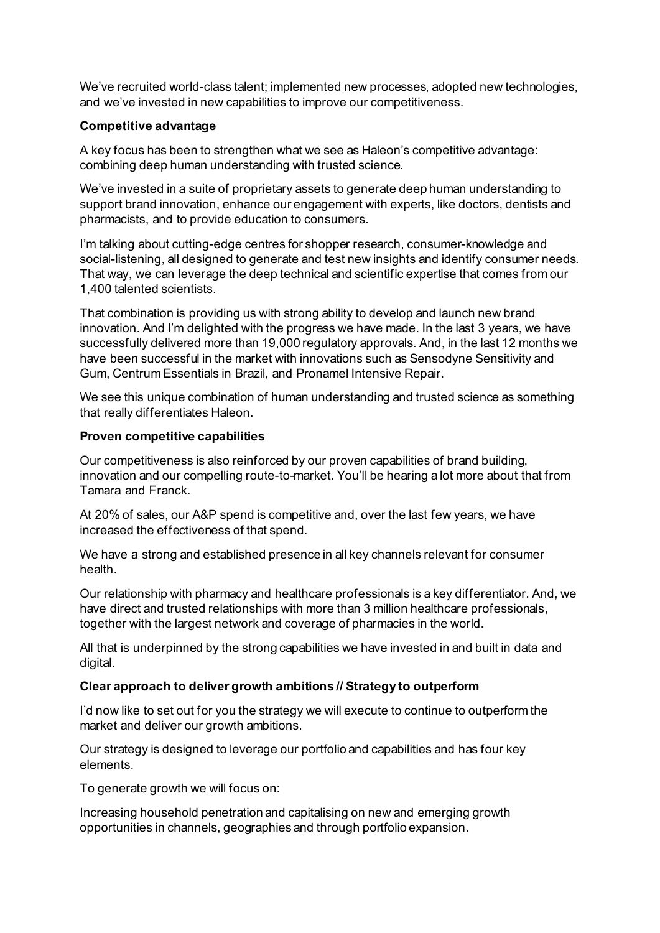We've recruited world-class talent; implemented new processes, adopted new technologies, and we've invested in new capabilities to improve our competitiveness.

# **Competitive advantage**

A key focus has been to strengthen what we see as Haleon's competitive advantage: combining deep human understanding with trusted science.

We've invested in a suite of proprietary assets to generate deep human understanding to support brand innovation, enhance our engagement with experts, like doctors, dentists and pharmacists, and to provide education to consumers.

I'm talking about cutting-edge centres for shopper research, consumer-knowledge and social-listening, all designed to generate and test new insights and identify consumer needs. That way, we can leverage the deep technical and scientific expertise that comes from our 1,400 talented scientists.

That combination is providing us with strong ability to develop and launch new brand innovation. And I'm delighted with the progress we have made. In the last 3 years, we have successfully delivered more than 19,000 regulatory approvals. And, in the last 12 months we have been successful in the market with innovations such as Sensodyne Sensitivity and Gum, Centrum Essentials in Brazil, and Pronamel Intensive Repair.

We see this unique combination of human understanding and trusted science as something that really differentiates Haleon.

## **Proven competitive capabilities**

Our competitiveness is also reinforced by our proven capabilities of brand building, innovation and our compelling route-to-market. You'll be hearing a lot more about that from Tamara and Franck.

At 20% of sales, our A&P spend is competitive and, over the last few years, we have increased the effectiveness of that spend.

We have a strong and established presence in all key channels relevant for consumer health.

Our relationship with pharmacy and healthcare professionals is a key differentiator. And, we have direct and trusted relationships with more than 3 million healthcare professionals, together with the largest network and coverage of pharmacies in the world.

All that is underpinned by the strong capabilities we have invested in and built in data and digital.

## **Clear approach to deliver growth ambitions // Strategy to outperform**

I'd now like to set out for you the strategy we will execute to continue to outperform the market and deliver our growth ambitions.

Our strategy is designed to leverage our portfolio and capabilities and has four key elements.

To generate growth we will focus on:

Increasing household penetration and capitalising on new and emerging growth opportunities in channels, geographies and through portfolio expansion.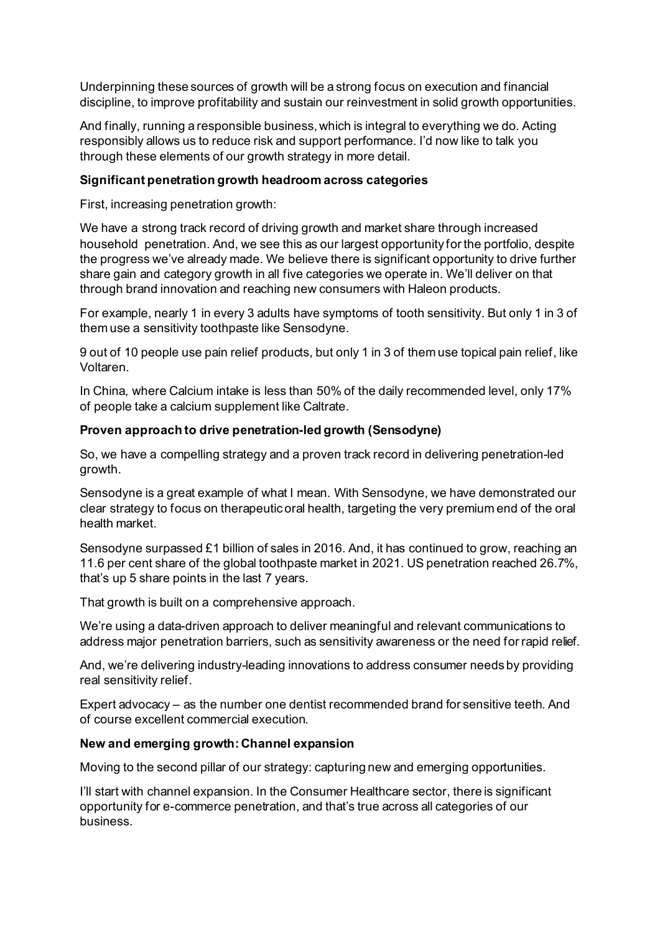Underpinning these sources of growth will be a strong focus on execution and financial discipline, to improve profitability and sustain our reinvestment in solid growth opportunities.

And finally, running a responsible business, which is integral to everything we do. Acting responsibly allows us to reduce risk and support performance. I'd now like to talk you through these elements of our growth strategy in more detail.

## **Significant penetration growth headroom across categories**

First, increasing penetration growth:

We have a strong track record of driving growth and market share through increased household penetration. And, we see this as our largest opportunity for the portfolio, despite the progress we've already made. We believe there is significant opportunity to drive further share gain and category growth in all five categories we operate in. We'll deliver on that through brand innovation and reaching new consumers with Haleon products.

For example, nearly 1 in every 3 adults have symptoms of tooth sensitivity. But only 1 in 3 of them use a sensitivity toothpaste like Sensodyne.

9 out of 10 people use pain relief products, but only 1 in 3 of them use topical pain relief, like Voltaren.

In China, where Calcium intake is less than 50% of the daily recommended level, only 17% of people take a calcium supplement like Caltrate.

# **Proven approach to drive penetration-led growth (Sensodyne)**

So, we have a compelling strategy and a proven track record in delivering penetration-led growth.

Sensodyne is a great example of what I mean. With Sensodyne, we have demonstrated our clear strategy to focus on therapeutic oral health, targeting the very premium end of the oral health market.

Sensodyne surpassed £1 billion of sales in 2016. And, it has continued to grow, reaching an 11.6 per cent share of the global toothpaste market in 2021. US penetration reached 26.7%, that's up 5 share points in the last 7 years.

That growth is built on a comprehensive approach.

We're using a data-driven approach to deliver meaningful and relevant communications to address major penetration barriers, such as sensitivity awareness or the need for rapid relief.

And, we're delivering industry-leading innovations to address consumer needs by providing real sensitivity relief.

Expert advocacy – as the number one dentist recommended brand for sensitive teeth. And of course excellent commercial execution.

## **New and emerging growth: Channel expansion**

Moving to the second pillar of our strategy: capturing new and emerging opportunities.

I'll start with channel expansion. In the Consumer Healthcare sector, there is significant opportunity for e-commerce penetration, and that's true across all categories of our business.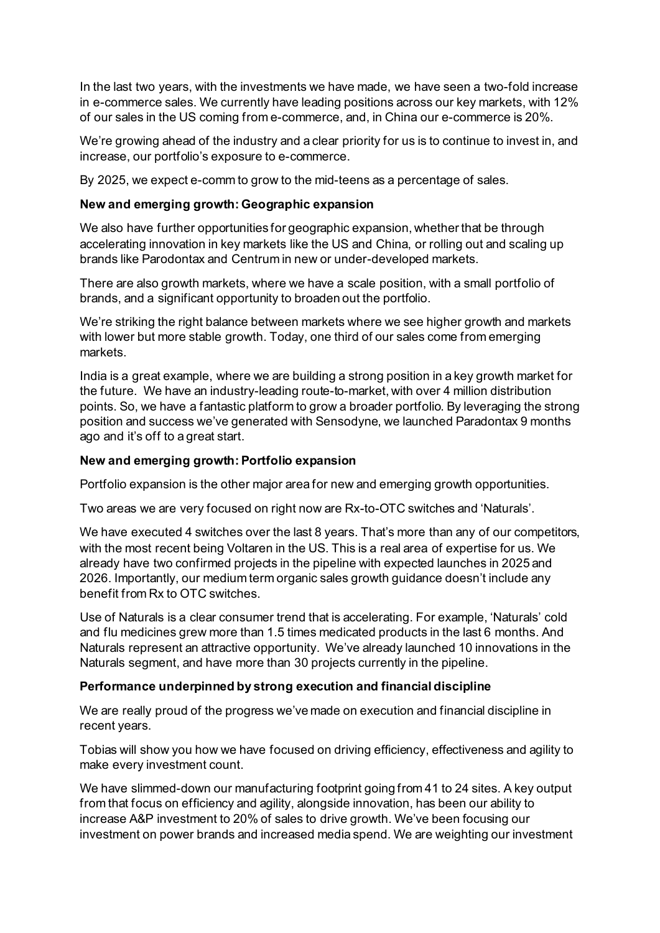In the last two years, with the investments we have made, we have seen a two-fold increase in e-commerce sales. We currently have leading positions across our key markets, with 12% of our sales in the US coming from e-commerce, and, in China our e-commerce is 20%.

We're growing ahead of the industry and a clear priority for us is to continue to invest in, and increase, our portfolio's exposure to e-commerce.

By 2025, we expect e-comm to grow to the mid-teens as a percentage of sales.

# **New and emerging growth: Geographic expansion**

We also have further opportunities for geographic expansion, whether that be through accelerating innovation in key markets like the US and China, or rolling out and scaling up brands like Parodontax and Centrum in new or under-developed markets.

There are also growth markets, where we have a scale position, with a small portfolio of brands, and a significant opportunity to broaden out the portfolio.

We're striking the right balance between markets where we see higher growth and markets with lower but more stable growth. Today, one third of our sales come from emerging markets.

India is a great example, where we are building a strong position in a key growth market for the future. We have an industry-leading route-to-market, with over 4 million distribution points. So, we have a fantastic platform to grow a broader portfolio. By leveraging the strong position and success we've generated with Sensodyne, we launched Paradontax 9 months ago and it's off to a great start.

# **New and emerging growth: Portfolio expansion**

Portfolio expansion is the other major area for new and emerging growth opportunities.

Two areas we are very focused on right now are Rx-to-OTC switches and 'Naturals'.

We have executed 4 switches over the last 8 years. That's more than any of our competitors, with the most recent being Voltaren in the US. This is a real area of expertise for us. We already have two confirmed projects in the pipeline with expected launches in 2025 and 2026. Importantly, our medium term organic sales growth guidance doesn't include any benefit from Rx to OTC switches.

Use of Naturals is a clear consumer trend that is accelerating. For example, 'Naturals' cold and flu medicines grew more than 1.5 times medicated products in the last 6 months. And Naturals represent an attractive opportunity. We've already launched 10 innovations in the Naturals segment, and have more than 30 projects currently in the pipeline.

# **Performance underpinned by strong execution and financial discipline**

We are really proud of the progress we've made on execution and financial discipline in recent years.

Tobias will show you how we have focused on driving efficiency, effectiveness and agility to make every investment count.

We have slimmed-down our manufacturing footprint going from 41 to 24 sites. A key output from that focus on efficiency and agility, alongside innovation, has been our ability to increase A&P investment to 20% of sales to drive growth. We've been focusing our investment on power brands and increased media spend. We are weighting our investment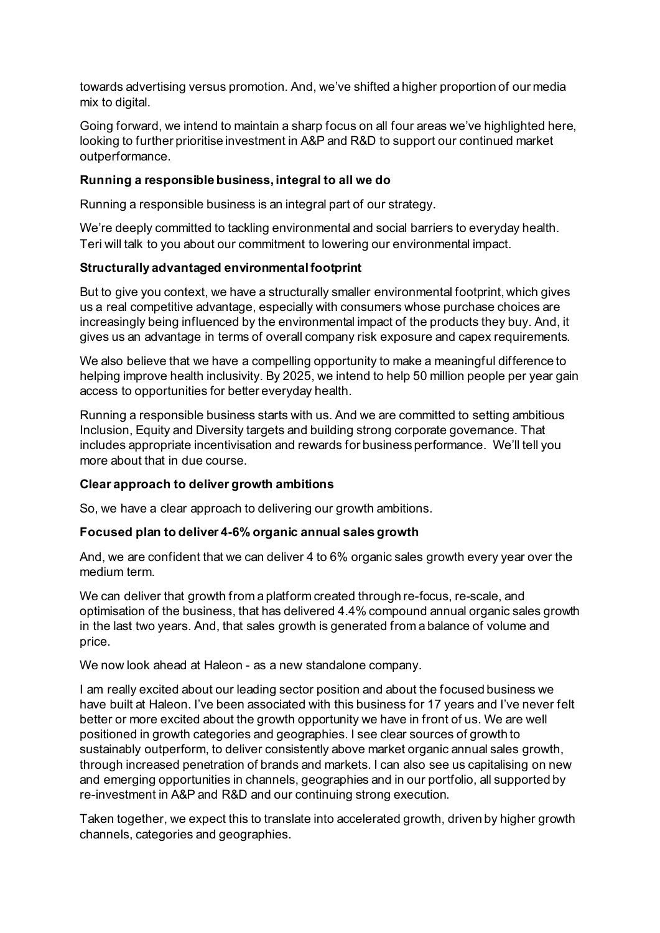towards advertising versus promotion. And, we've shifted a higher proportion of our media mix to digital.

Going forward, we intend to maintain a sharp focus on all four areas we've highlighted here, looking to further prioritise investment in A&P and R&D to support our continued market outperformance.

# **Running a responsible business, integral to all we do**

Running a responsible business is an integral part of our strategy.

We're deeply committed to tackling environmental and social barriers to everyday health. Teri will talk to you about our commitment to lowering our environmental impact.

# **Structurally advantaged environmental footprint**

But to give you context, we have a structurally smaller environmental footprint, which gives us a real competitive advantage, especially with consumers whose purchase choices are increasingly being influenced by the environmental impact of the products they buy. And, it gives us an advantage in terms of overall company risk exposure and capex requirements.

We also believe that we have a compelling opportunity to make a meaningful difference to helping improve health inclusivity. By 2025, we intend to help 50 million people per year gain access to opportunities for better everyday health.

Running a responsible business starts with us. And we are committed to setting ambitious Inclusion, Equity and Diversity targets and building strong corporate governance. That includes appropriate incentivisation and rewards for business performance. We'll tell you more about that in due course.

## **Clear approach to deliver growth ambitions**

So, we have a clear approach to delivering our growth ambitions.

## **Focused plan to deliver 4-6% organic annual sales growth**

And, we are confident that we can deliver 4 to 6% organic sales growth every year over the medium term.

We can deliver that growth from a platform created through re-focus, re-scale, and optimisation of the business, that has delivered 4.4% compound annual organic sales growth in the last two years. And, that sales growth is generated from a balance of volume and price.

We now look ahead at Haleon - as a new standalone company.

I am really excited about our leading sector position and about the focused business we have built at Haleon. I've been associated with this business for 17 years and I've never felt better or more excited about the growth opportunity we have in front of us. We are well positioned in growth categories and geographies. I see clear sources of growth to sustainably outperform, to deliver consistently above market organic annual sales growth, through increased penetration of brands and markets. I can also see us capitalising on new and emerging opportunities in channels, geographies and in our portfolio, all supported by re-investment in A&P and R&D and our continuing strong execution.

Taken together, we expect this to translate into accelerated growth, driven by higher growth channels, categories and geographies.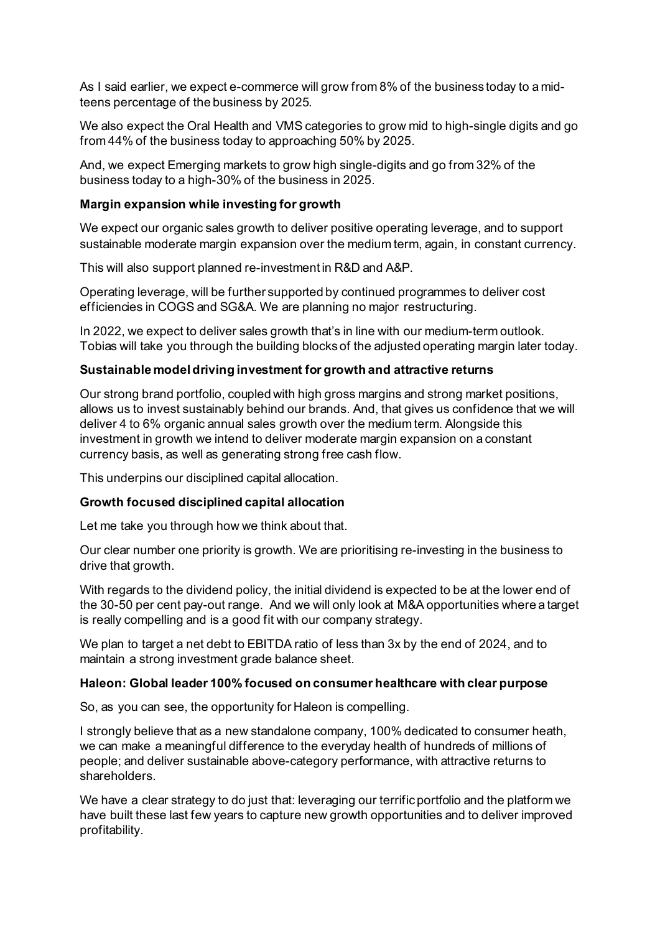As I said earlier, we expect e-commerce will grow from 8% of the business today to a midteens percentage of the business by 2025.

We also expect the Oral Health and VMS categories to grow mid to high-single digits and go from 44% of the business today to approaching 50% by 2025.

And, we expect Emerging markets to grow high single-digits and go from 32% of the business today to a high-30% of the business in 2025.

## **Margin expansion while investing for growth**

We expect our organic sales growth to deliver positive operating leverage, and to support sustainable moderate margin expansion over the medium term, again, in constant currency.

This will also support planned re-investment in R&D and A&P.

Operating leverage, will be further supported by continued programmes to deliver cost efficiencies in COGS and SG&A. We are planning no major restructuring.

In 2022, we expect to deliver sales growth that's in line with our medium-term outlook. Tobias will take you through the building blocks of the adjusted operating margin later today.

### **Sustainable model driving investment for growth and attractive returns**

Our strong brand portfolio, coupled with high gross margins and strong market positions, allows us to invest sustainably behind our brands. And, that gives us confidence that we will deliver 4 to 6% organic annual sales growth over the medium term. Alongside this investment in growth we intend to deliver moderate margin expansion on a constant currency basis, as well as generating strong free cash flow.

This underpins our disciplined capital allocation.

## **Growth focused disciplined capital allocation**

Let me take you through how we think about that.

Our clear number one priority is growth. We are prioritising re-investing in the business to drive that growth.

With regards to the dividend policy, the initial dividend is expected to be at the lower end of the 30-50 per cent pay-out range. And we will only look at M&A opportunities where a target is really compelling and is a good fit with our company strategy.

We plan to target a net debt to EBITDA ratio of less than 3x by the end of 2024, and to maintain a strong investment grade balance sheet.

# **Haleon: Global leader 100% focused on consumer healthcare with clear purpose**

So, as you can see, the opportunity for Haleon is compelling.

I strongly believe that as a new standalone company, 100% dedicated to consumer heath, we can make a meaningful difference to the everyday health of hundreds of millions of people; and deliver sustainable above-category performance, with attractive returns to shareholders.

We have a clear strategy to do just that: leveraging our terrific portfolio and the platform we have built these last few years to capture new growth opportunities and to deliver improved profitability.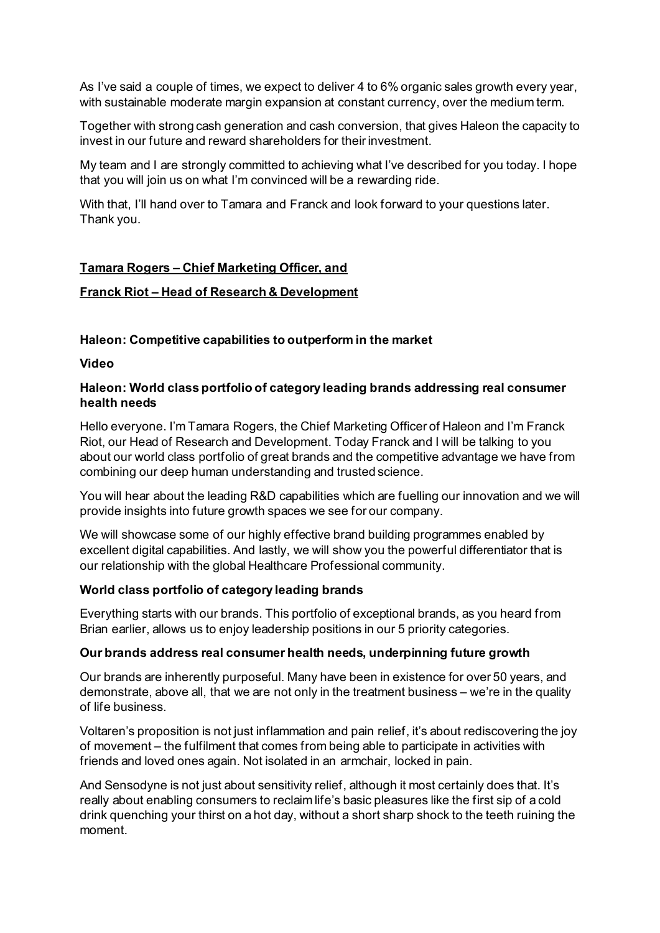As I've said a couple of times, we expect to deliver 4 to 6% organic sales growth every year, with sustainable moderate margin expansion at constant currency, over the medium term.

Together with strong cash generation and cash conversion, that gives Haleon the capacity to invest in our future and reward shareholders for their investment.

My team and I are strongly committed to achieving what I've described for you today. I hope that you will join us on what I'm convinced will be a rewarding ride.

With that, I'll hand over to Tamara and Franck and look forward to your questions later. Thank you.

## **Tamara Rogers – Chief Marketing Officer, and**

### **Franck Riot – Head of Research & Development**

## **Haleon: Competitive capabilities to outperform in the market**

**Video**

## **Haleon: World class portfolio of category leading brands addressing real consumer health needs**

Hello everyone. I'm Tamara Rogers, the Chief Marketing Officer of Haleon and I'm Franck Riot, our Head of Research and Development. Today Franck and I will be talking to you about our world class portfolio of great brands and the competitive advantage we have from combining our deep human understanding and trusted science.

You will hear about the leading R&D capabilities which are fuelling our innovation and we will provide insights into future growth spaces we see for our company.

We will showcase some of our highly effective brand building programmes enabled by excellent digital capabilities. And lastly, we will show you the powerful differentiator that is our relationship with the global Healthcare Professional community.

## **World class portfolio of category leading brands**

Everything starts with our brands. This portfolio of exceptional brands, as you heard from Brian earlier, allows us to enjoy leadership positions in our 5 priority categories.

#### **Our brands address real consumer health needs, underpinning future growth**

Our brands are inherently purposeful. Many have been in existence for over 50 years, and demonstrate, above all, that we are not only in the treatment business – we're in the quality of life business.

Voltaren's proposition is not just inflammation and pain relief, it's about rediscovering the joy of movement – the fulfilment that comes from being able to participate in activities with friends and loved ones again. Not isolated in an armchair, locked in pain.

And Sensodyne is not just about sensitivity relief, although it most certainly does that. It's really about enabling consumers to reclaim life's basic pleasures like the first sip of a cold drink quenching your thirst on a hot day, without a short sharp shock to the teeth ruining the moment.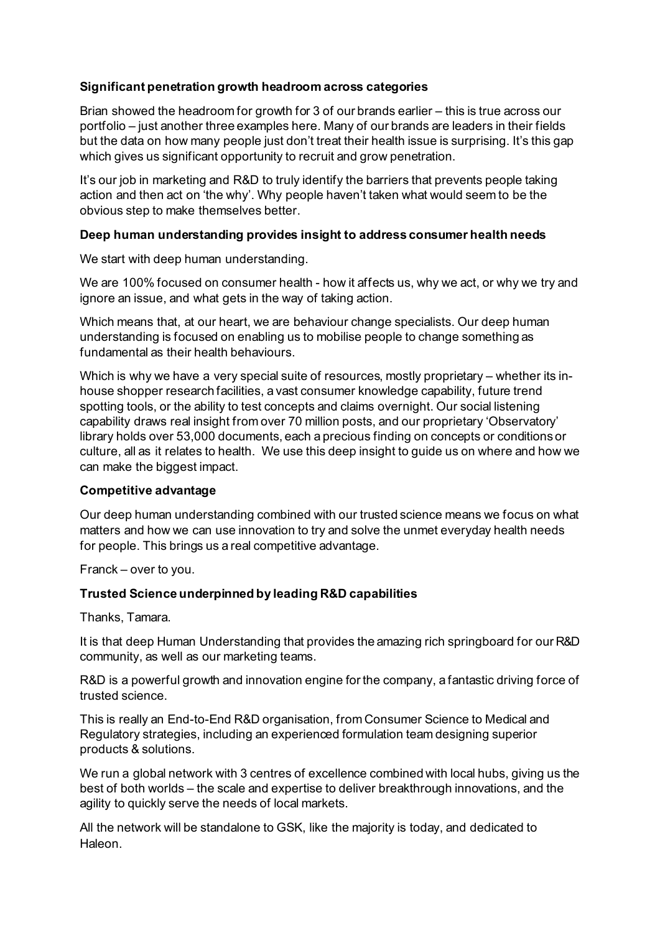# **Significant penetration growth headroom across categories**

Brian showed the headroom for growth for 3 of our brands earlier – this is true across our portfolio – just another three examples here. Many of our brands are leaders in their fields but the data on how many people just don't treat their health issue is surprising. It's this gap which gives us significant opportunity to recruit and grow penetration.

It's our job in marketing and R&D to truly identify the barriers that prevents people taking action and then act on 'the why'. Why people haven't taken what would seem to be the obvious step to make themselves better.

## **Deep human understanding provides insight to address consumer health needs**

We start with deep human understanding.

We are 100% focused on consumer health - how it affects us, why we act, or why we try and ignore an issue, and what gets in the way of taking action.

Which means that, at our heart, we are behaviour change specialists. Our deep human understanding is focused on enabling us to mobilise people to change something as fundamental as their health behaviours.

Which is why we have a very special suite of resources, mostly proprietary – whether its inhouse shopper research facilities, a vast consumer knowledge capability, future trend spotting tools, or the ability to test concepts and claims overnight. Our social listening capability draws real insight from over 70 million posts, and our proprietary 'Observatory' library holds over 53,000 documents, each a precious finding on concepts or conditions or culture, all as it relates to health. We use this deep insight to guide us on where and how we can make the biggest impact.

## **Competitive advantage**

Our deep human understanding combined with our trusted science means we focus on what matters and how we can use innovation to try and solve the unmet everyday health needs for people. This brings us a real competitive advantage.

Franck – over to you.

## **Trusted Science underpinned by leading R&D capabilities**

Thanks, Tamara.

It is that deep Human Understanding that provides the amazing rich springboard for our R&D community, as well as our marketing teams.

R&D is a powerful growth and innovation engine for the company, a fantastic driving force of trusted science.

This is really an End-to-End R&D organisation, from Consumer Science to Medical and Regulatory strategies, including an experienced formulation team designing superior products & solutions.

We run a global network with 3 centres of excellence combined with local hubs, giving us the best of both worlds – the scale and expertise to deliver breakthrough innovations, and the agility to quickly serve the needs of local markets.

All the network will be standalone to GSK, like the majority is today, and dedicated to Haleon.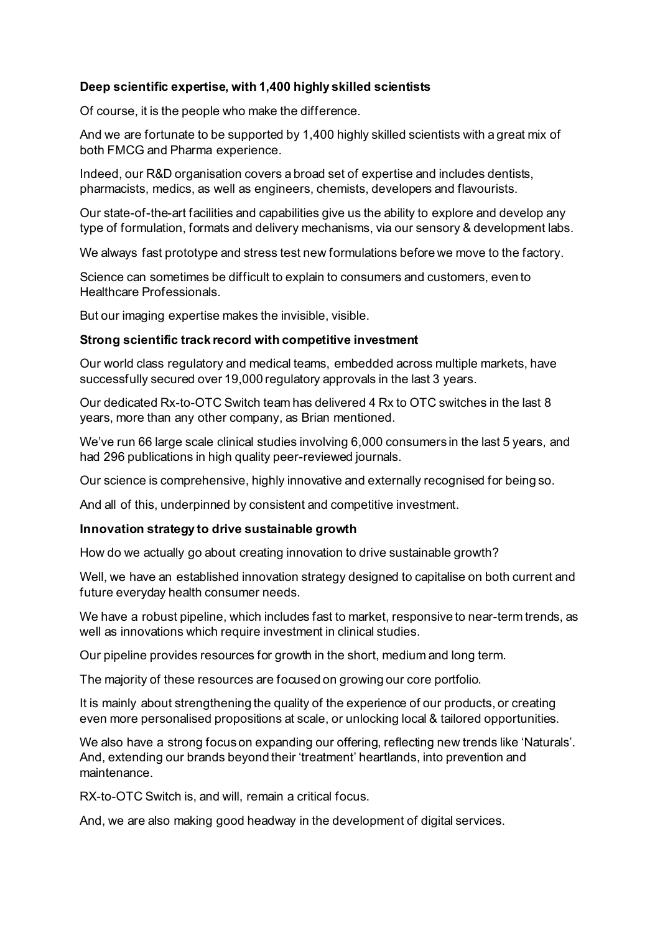# **Deep scientific expertise, with 1,400 highly skilled scientists**

Of course, it is the people who make the difference.

And we are fortunate to be supported by 1,400 highly skilled scientists with a great mix of both FMCG and Pharma experience.

Indeed, our R&D organisation covers a broad set of expertise and includes dentists, pharmacists, medics, as well as engineers, chemists, developers and flavourists.

Our state-of-the-art facilities and capabilities give us the ability to explore and develop any type of formulation, formats and delivery mechanisms, via our sensory & development labs.

We always fast prototype and stress test new formulations before we move to the factory.

Science can sometimes be difficult to explain to consumers and customers, even to Healthcare Professionals.

But our imaging expertise makes the invisible, visible.

## **Strong scientific track record with competitive investment**

Our world class regulatory and medical teams, embedded across multiple markets, have successfully secured over 19,000 regulatory approvals in the last 3 years.

Our dedicated Rx-to-OTC Switch team has delivered 4 Rx to OTC switches in the last 8 years, more than any other company, as Brian mentioned.

We've run 66 large scale clinical studies involving 6,000 consumers in the last 5 years, and had 296 publications in high quality peer-reviewed journals.

Our science is comprehensive, highly innovative and externally recognised for being so.

And all of this, underpinned by consistent and competitive investment.

## **Innovation strategy to drive sustainable growth**

How do we actually go about creating innovation to drive sustainable growth?

Well, we have an established innovation strategy designed to capitalise on both current and future everyday health consumer needs.

We have a robust pipeline, which includes fast to market, responsive to near-term trends, as well as innovations which require investment in clinical studies.

Our pipeline provides resources for growth in the short, medium and long term.

The majority of these resources are focused on growing our core portfolio.

It is mainly about strengthening the quality of the experience of our products, or creating even more personalised propositions at scale, or unlocking local & tailored opportunities.

We also have a strong focus on expanding our offering, reflecting new trends like 'Naturals'. And, extending our brands beyond their 'treatment' heartlands, into prevention and maintenance.

RX-to-OTC Switch is, and will, remain a critical focus.

And, we are also making good headway in the development of digital services.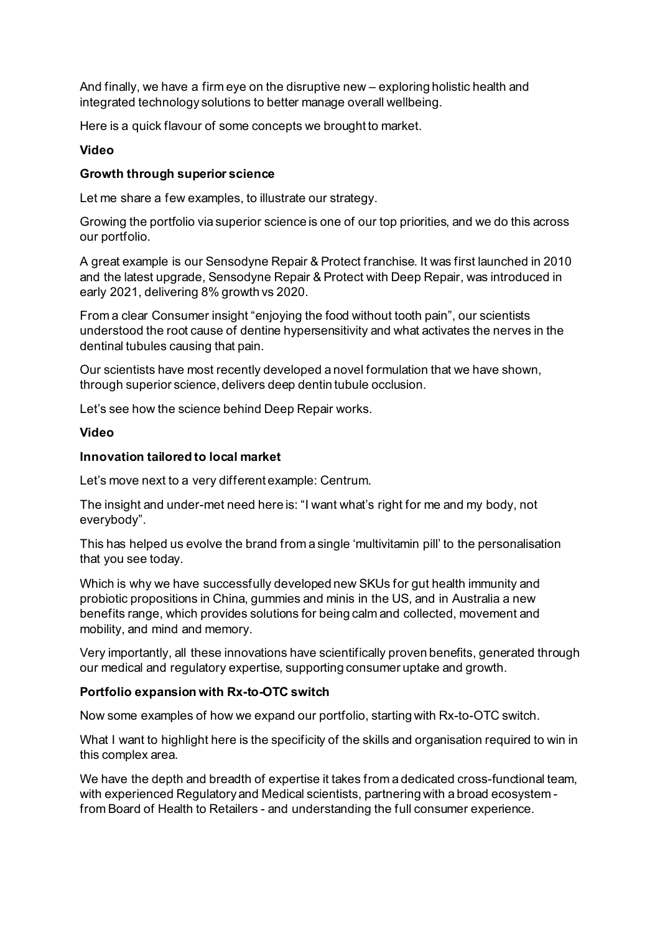And finally, we have a firm eye on the disruptive new – exploring holistic health and integrated technology solutions to better manage overall wellbeing.

Here is a quick flavour of some concepts we brought to market.

### **Video**

### **Growth through superior science**

Let me share a few examples, to illustrate our strategy.

Growing the portfolio via superior science is one of our top priorities, and we do this across our portfolio.

A great example is our Sensodyne Repair & Protect franchise. It was first launched in 2010 and the latest upgrade, Sensodyne Repair & Protect with Deep Repair, was introduced in early 2021, delivering 8% growth vs 2020.

From a clear Consumer insight "enjoying the food without tooth pain", our scientists understood the root cause of dentine hypersensitivity and what activates the nerves in the dentinal tubules causing that pain.

Our scientists have most recently developed a novel formulation that we have shown, through superior science, delivers deep dentin tubule occlusion.

Let's see how the science behind Deep Repair works.

## **Video**

### **Innovation tailored to local market**

Let's move next to a very different example: Centrum.

The insight and under-met need here is: "I want what's right for me and my body, not everybody".

This has helped us evolve the brand from a single 'multivitamin pill' to the personalisation that you see today.

Which is why we have successfully developed new SKUs for gut health immunity and probiotic propositions in China, gummies and minis in the US, and in Australia a new benefits range, which provides solutions for being calm and collected, movement and mobility, and mind and memory.

Very importantly, all these innovations have scientifically proven benefits, generated through our medical and regulatory expertise, supporting consumer uptake and growth.

## **Portfolio expansion with Rx-to-OTC switch**

Now some examples of how we expand our portfolio, starting with Rx-to-OTC switch.

What I want to highlight here is the specificity of the skills and organisation required to win in this complex area.

We have the depth and breadth of expertise it takes from a dedicated cross-functional team, with experienced Regulatory and Medical scientists, partnering with a broad ecosystem from Board of Health to Retailers - and understanding the full consumer experience.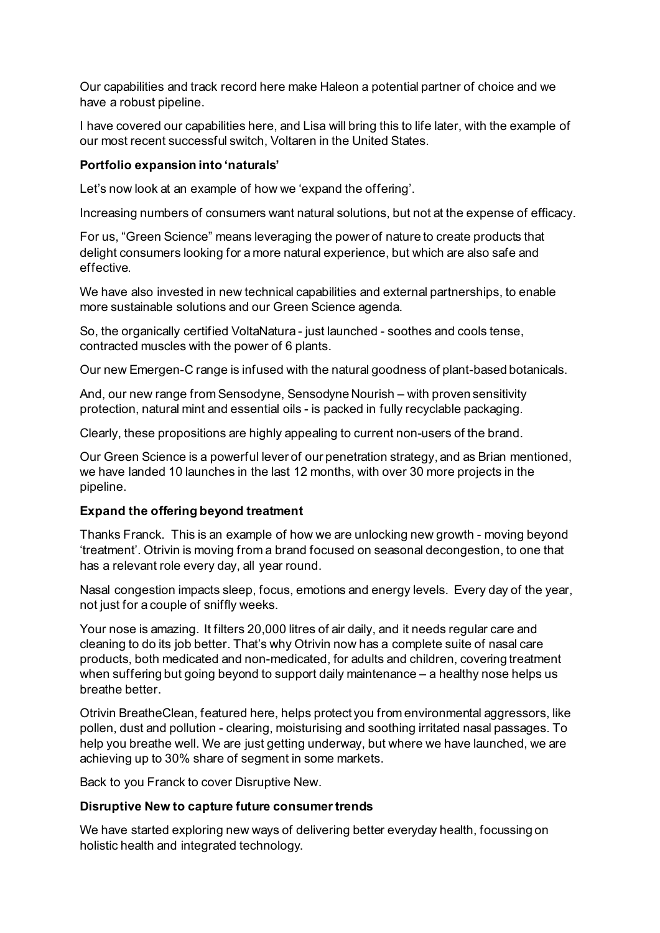Our capabilities and track record here make Haleon a potential partner of choice and we have a robust pipeline.

I have covered our capabilities here, and Lisa will bring this to life later, with the example of our most recent successful switch, Voltaren in the United States.

### **Portfolio expansion into 'naturals'**

Let's now look at an example of how we 'expand the offering'.

Increasing numbers of consumers want natural solutions, but not at the expense of efficacy.

For us, "Green Science" means leveraging the power of nature to create products that delight consumers looking for a more natural experience, but which are also safe and effective.

We have also invested in new technical capabilities and external partnerships, to enable more sustainable solutions and our Green Science agenda.

So, the organically certified VoltaNatura - just launched - soothes and cools tense, contracted muscles with the power of 6 plants.

Our new Emergen-C range is infused with the natural goodness of plant-based botanicals.

And, our new range from Sensodyne, Sensodyne Nourish – with proven sensitivity protection, natural mint and essential oils - is packed in fully recyclable packaging.

Clearly, these propositions are highly appealing to current non-users of the brand.

Our Green Science is a powerful lever of our penetration strategy, and as Brian mentioned, we have landed 10 launches in the last 12 months, with over 30 more projects in the pipeline.

## **Expand the offering beyond treatment**

Thanks Franck. This is an example of how we are unlocking new growth - moving beyond 'treatment'. Otrivin is moving from a brand focused on seasonal decongestion, to one that has a relevant role every day, all year round.

Nasal congestion impacts sleep, focus, emotions and energy levels. Every day of the year, not just for a couple of sniffly weeks.

Your nose is amazing. It filters 20,000 litres of air daily, and it needs regular care and cleaning to do its job better. That's why Otrivin now has a complete suite of nasal care products, both medicated and non-medicated, for adults and children, covering treatment when suffering but going beyond to support daily maintenance – a healthy nose helps us breathe better.

Otrivin BreatheClean, featured here, helps protect you from environmental aggressors, like pollen, dust and pollution - clearing, moisturising and soothing irritated nasal passages. To help you breathe well. We are just getting underway, but where we have launched, we are achieving up to 30% share of segment in some markets.

Back to you Franck to cover Disruptive New.

## **Disruptive New to capture future consumer trends**

We have started exploring new ways of delivering better everyday health, focussing on holistic health and integrated technology.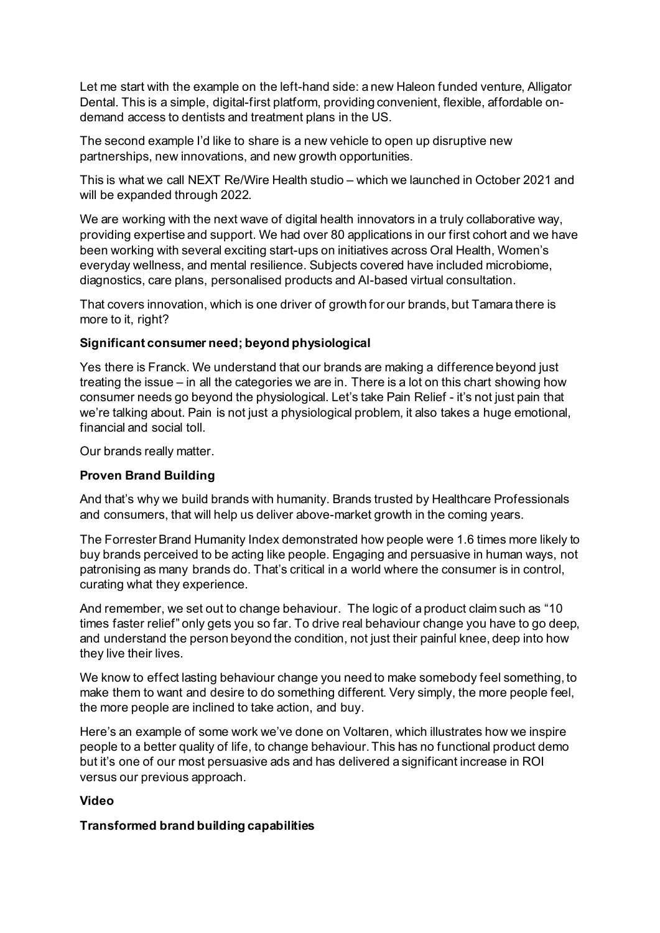Let me start with the example on the left-hand side: a new Haleon funded venture, Alligator Dental. This is a simple, digital-first platform, providing convenient, flexible, affordable ondemand access to dentists and treatment plans in the US.

The second example I'd like to share is a new vehicle to open up disruptive new partnerships, new innovations, and new growth opportunities.

This is what we call NEXT Re/Wire Health studio – which we launched in October 2021 and will be expanded through 2022.

We are working with the next wave of digital health innovators in a truly collaborative way, providing expertise and support. We had over 80 applications in our first cohort and we have been working with several exciting start-ups on initiatives across Oral Health, Women's everyday wellness, and mental resilience. Subjects covered have included microbiome, diagnostics, care plans, personalised products and AI-based virtual consultation.

That covers innovation, which is one driver of growth for our brands, but Tamara there is more to it, right?

# **Significant consumer need; beyond physiological**

Yes there is Franck. We understand that our brands are making a difference beyond just treating the issue – in all the categories we are in. There is a lot on this chart showing how consumer needs go beyond the physiological. Let's take Pain Relief - it's not just pain that we're talking about. Pain is not just a physiological problem, it also takes a huge emotional, financial and social toll.

Our brands really matter.

## **Proven Brand Building**

And that's why we build brands with humanity. Brands trusted by Healthcare Professionals and consumers, that will help us deliver above-market growth in the coming years.

The Forrester Brand Humanity Index demonstrated how people were 1.6 times more likely to buy brands perceived to be acting like people. Engaging and persuasive in human ways, not patronising as many brands do. That's critical in a world where the consumer is in control, curating what they experience.

And remember, we set out to change behaviour. The logic of a product claim such as "10 times faster relief" only gets you so far. To drive real behaviour change you have to go deep, and understand the person beyond the condition, not just their painful knee, deep into how they live their lives.

We know to effect lasting behaviour change you need to make somebody feel something, to make them to want and desire to do something different. Very simply, the more people feel, the more people are inclined to take action, and buy.

Here's an example of some work we've done on Voltaren, which illustrates how we inspire people to a better quality of life, to change behaviour. This has no functional product demo but it's one of our most persuasive ads and has delivered a significant increase in ROI versus our previous approach.

# **Video**

## **Transformed brand building capabilities**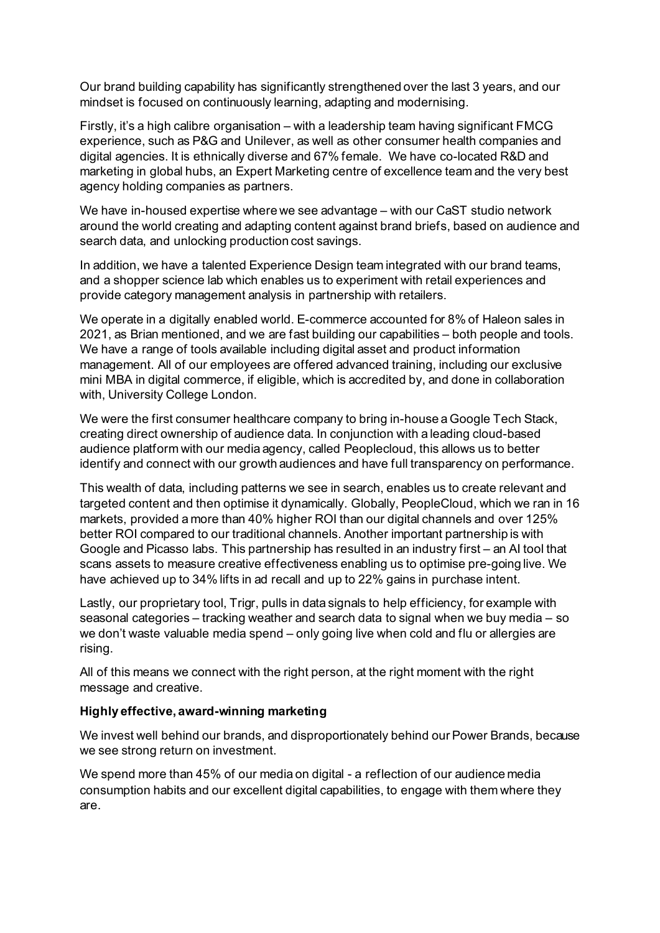Our brand building capability has significantly strengthened over the last 3 years, and our mindset is focused on continuously learning, adapting and modernising.

Firstly, it's a high calibre organisation – with a leadership team having significant FMCG experience, such as P&G and Unilever, as well as other consumer health companies and digital agencies. It is ethnically diverse and 67% female. We have co-located R&D and marketing in global hubs, an Expert Marketing centre of excellence team and the very best agency holding companies as partners.

We have in-housed expertise where we see advantage – with our CaST studio network around the world creating and adapting content against brand briefs, based on audience and search data, and unlocking production cost savings.

In addition, we have a talented Experience Design team integrated with our brand teams, and a shopper science lab which enables us to experiment with retail experiences and provide category management analysis in partnership with retailers.

We operate in a digitally enabled world. E-commerce accounted for 8% of Haleon sales in 2021, as Brian mentioned, and we are fast building our capabilities – both people and tools. We have a range of tools available including digital asset and product information management. All of our employees are offered advanced training, including our exclusive mini MBA in digital commerce, if eligible, which is accredited by, and done in collaboration with, University College London.

We were the first consumer healthcare company to bring in-house a Google Tech Stack, creating direct ownership of audience data. In conjunction with a leading cloud-based audience platform with our media agency, called Peoplecloud, this allows us to better identify and connect with our growth audiences and have full transparency on performance.

This wealth of data, including patterns we see in search, enables us to create relevant and targeted content and then optimise it dynamically. Globally, PeopleCloud, which we ran in 16 markets, provided a more than 40% higher ROI than our digital channels and over 125% better ROI compared to our traditional channels. Another important partnership is with Google and Picasso labs. This partnership has resulted in an industry first – an AI tool that scans assets to measure creative effectiveness enabling us to optimise pre-going live. We have achieved up to 34% lifts in ad recall and up to 22% gains in purchase intent.

Lastly, our proprietary tool, Trigr, pulls in data signals to help efficiency, for example with seasonal categories – tracking weather and search data to signal when we buy media – so we don't waste valuable media spend – only going live when cold and flu or allergies are rising.

All of this means we connect with the right person, at the right moment with the right message and creative.

## **Highly effective, award-winning marketing**

We invest well behind our brands, and disproportionately behind our Power Brands, because we see strong return on investment.

We spend more than 45% of our media on digital - a reflection of our audience media consumption habits and our excellent digital capabilities, to engage with them where they are.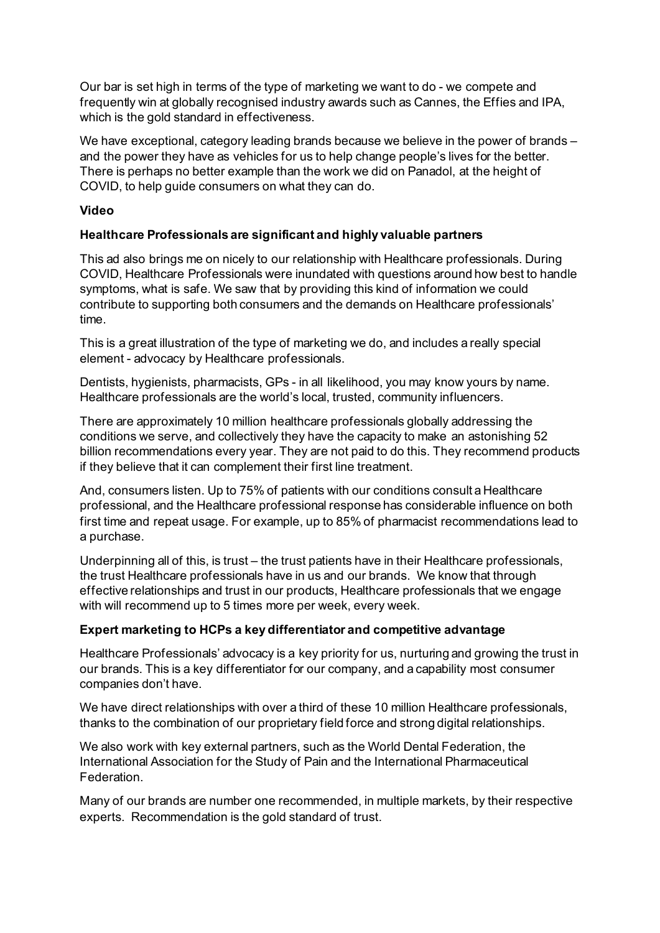Our bar is set high in terms of the type of marketing we want to do - we compete and frequently win at globally recognised industry awards such as Cannes, the Effies and IPA, which is the gold standard in effectiveness.

We have exceptional, category leading brands because we believe in the power of brands – and the power they have as vehicles for us to help change people's lives for the better. There is perhaps no better example than the work we did on Panadol, at the height of COVID, to help guide consumers on what they can do.

# **Video**

# **Healthcare Professionals are significant and highly valuable partners**

This ad also brings me on nicely to our relationship with Healthcare professionals. During COVID, Healthcare Professionals were inundated with questions around how best to handle symptoms, what is safe. We saw that by providing this kind of information we could contribute to supporting both consumers and the demands on Healthcare professionals' time.

This is a great illustration of the type of marketing we do, and includes a really special element - advocacy by Healthcare professionals.

Dentists, hygienists, pharmacists, GPs - in all likelihood, you may know yours by name. Healthcare professionals are the world's local, trusted, community influencers.

There are approximately 10 million healthcare professionals globally addressing the conditions we serve, and collectively they have the capacity to make an astonishing 52 billion recommendations every year. They are not paid to do this. They recommend products if they believe that it can complement their first line treatment.

And, consumers listen. Up to 75% of patients with our conditions consult a Healthcare professional, and the Healthcare professional response has considerable influence on both first time and repeat usage. For example, up to 85% of pharmacist recommendations lead to a purchase.

Underpinning all of this, is trust – the trust patients have in their Healthcare professionals, the trust Healthcare professionals have in us and our brands. We know that through effective relationships and trust in our products, Healthcare professionals that we engage with will recommend up to 5 times more per week, every week.

# **Expert marketing to HCPs a key differentiator and competitive advantage**

Healthcare Professionals' advocacy is a key priority for us, nurturing and growing the trust in our brands. This is a key differentiator for our company, and a capability most consumer companies don't have.

We have direct relationships with over a third of these 10 million Healthcare professionals, thanks to the combination of our proprietary field force and strong digital relationships.

We also work with key external partners, such as the World Dental Federation, the International Association for the Study of Pain and the International Pharmaceutical Federation.

Many of our brands are number one recommended, in multiple markets, by their respective experts. Recommendation is the gold standard of trust.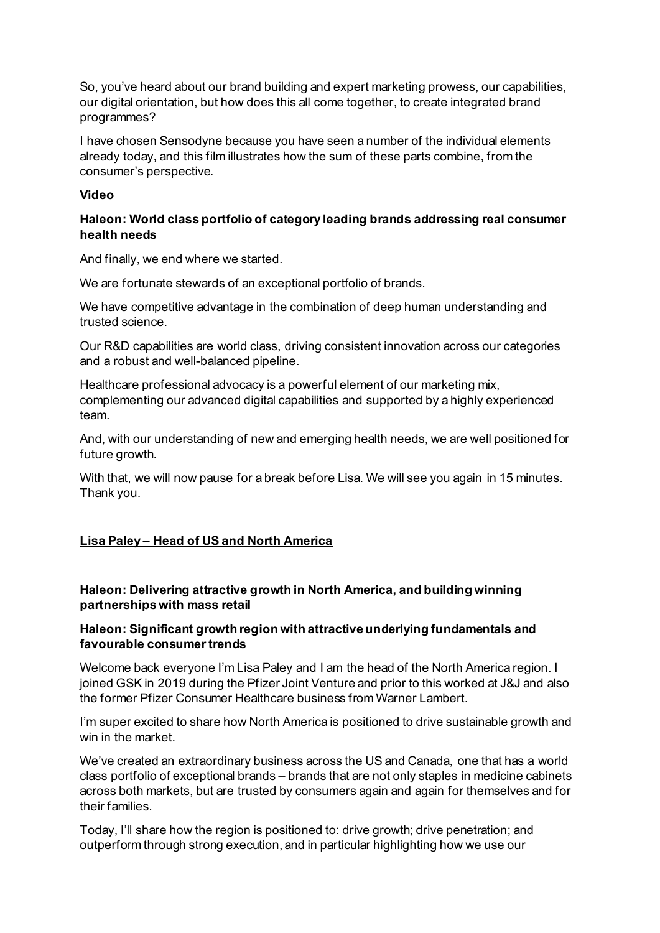So, you've heard about our brand building and expert marketing prowess, our capabilities, our digital orientation, but how does this all come together, to create integrated brand programmes?

I have chosen Sensodyne because you have seen a number of the individual elements already today, and this film illustrates how the sum of these parts combine, from the consumer's perspective.

### **Video**

# **Haleon: World class portfolio of category leading brands addressing real consumer health needs**

And finally, we end where we started.

We are fortunate stewards of an exceptional portfolio of brands.

We have competitive advantage in the combination of deep human understanding and trusted science.

Our R&D capabilities are world class, driving consistent innovation across our categories and a robust and well-balanced pipeline.

Healthcare professional advocacy is a powerful element of our marketing mix, complementing our advanced digital capabilities and supported by a highly experienced team.

And, with our understanding of new and emerging health needs, we are well positioned for future growth.

With that, we will now pause for a break before Lisa. We will see you again in 15 minutes. Thank you.

## **Lisa Paley – Head of US and North America**

# **Haleon: Delivering attractive growth in North America, and building winning partnerships with mass retail**

# **Haleon: Significant growth region with attractive underlying fundamentals and favourable consumer trends**

Welcome back everyone I'm Lisa Paley and I am the head of the North America region. I joined GSK in 2019 during the Pfizer Joint Venture and prior to this worked at J&J and also the former Pfizer Consumer Healthcare business from Warner Lambert.

I'm super excited to share how North America is positioned to drive sustainable growth and win in the market.

We've created an extraordinary business across the US and Canada, one that has a world class portfolio of exceptional brands – brands that are not only staples in medicine cabinets across both markets, but are trusted by consumers again and again for themselves and for their families.

Today, I'll share how the region is positioned to: drive growth; drive penetration; and outperform through strong execution, and in particular highlighting how we use our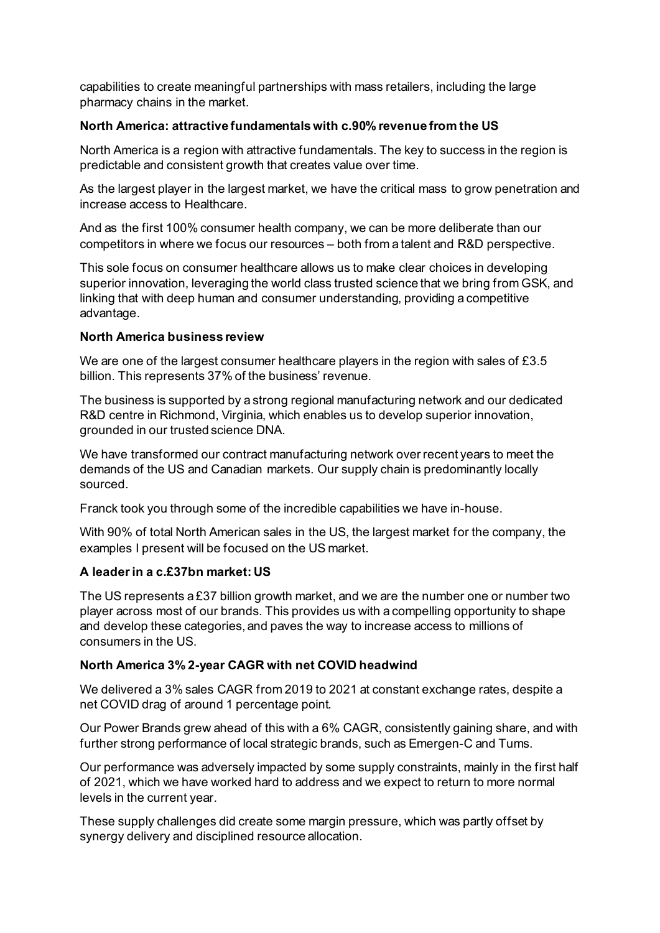capabilities to create meaningful partnerships with mass retailers, including the large pharmacy chains in the market.

# **North America: attractive fundamentals with c.90% revenue from the US**

North America is a region with attractive fundamentals. The key to success in the region is predictable and consistent growth that creates value over time.

As the largest player in the largest market, we have the critical mass to grow penetration and increase access to Healthcare.

And as the first 100% consumer health company, we can be more deliberate than our competitors in where we focus our resources – both from a talent and R&D perspective.

This sole focus on consumer healthcare allows us to make clear choices in developing superior innovation, leveraging the world class trusted science that we bring from GSK, and linking that with deep human and consumer understanding, providing a competitive advantage.

# **North America business review**

We are one of the largest consumer healthcare players in the region with sales of £3.5 billion. This represents 37% of the business' revenue.

The business is supported by a strong regional manufacturing network and our dedicated R&D centre in Richmond, Virginia, which enables us to develop superior innovation, grounded in our trusted science DNA.

We have transformed our contract manufacturing network over recent years to meet the demands of the US and Canadian markets. Our supply chain is predominantly locally sourced.

Franck took you through some of the incredible capabilities we have in-house.

With 90% of total North American sales in the US, the largest market for the company, the examples I present will be focused on the US market.

# **A leader in a c.£37bn market: US**

The US represents a £37 billion growth market, and we are the number one or number two player across most of our brands. This provides us with a compelling opportunity to shape and develop these categories, and paves the way to increase access to millions of consumers in the US.

# **North America 3% 2-year CAGR with net COVID headwind**

We delivered a 3% sales CAGR from 2019 to 2021 at constant exchange rates, despite a net COVID drag of around 1 percentage point.

Our Power Brands grew ahead of this with a 6% CAGR, consistently gaining share, and with further strong performance of local strategic brands, such as Emergen-C and Tums.

Our performance was adversely impacted by some supply constraints, mainly in the first half of 2021, which we have worked hard to address and we expect to return to more normal levels in the current year.

These supply challenges did create some margin pressure, which was partly offset by synergy delivery and disciplined resource allocation.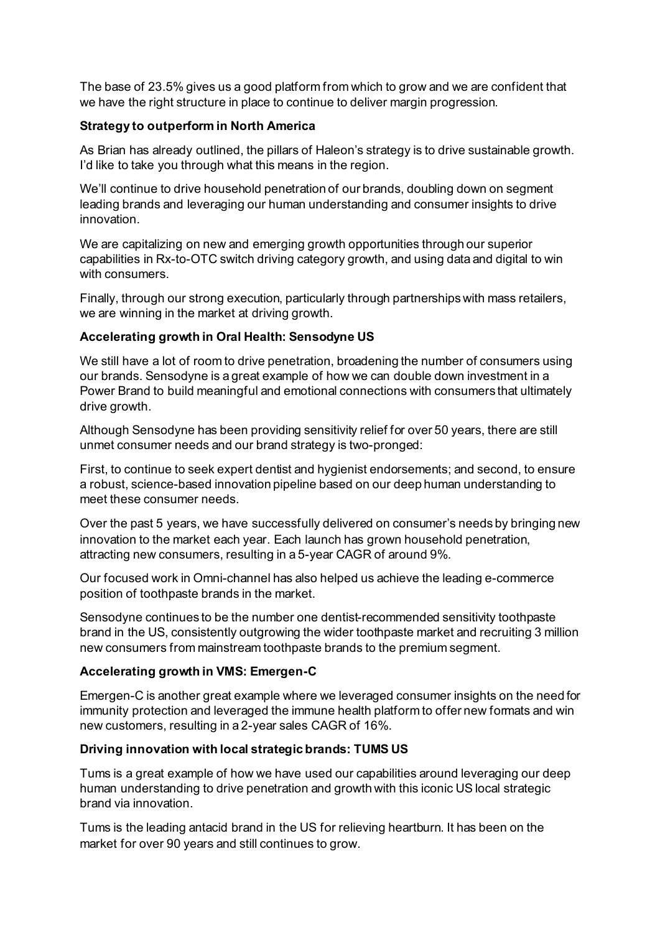The base of 23.5% gives us a good platform from which to grow and we are confident that we have the right structure in place to continue to deliver margin progression.

# **Strategy to outperform in North America**

As Brian has already outlined, the pillars of Haleon's strategy is to drive sustainable growth. I'd like to take you through what this means in the region.

We'll continue to drive household penetration of our brands, doubling down on segment leading brands and leveraging our human understanding and consumer insights to drive innovation.

We are capitalizing on new and emerging growth opportunities through our superior capabilities in Rx-to-OTC switch driving category growth, and using data and digital to win with consumers.

Finally, through our strong execution, particularly through partnerships with mass retailers, we are winning in the market at driving growth.

# **Accelerating growth in Oral Health: Sensodyne US**

We still have a lot of room to drive penetration, broadening the number of consumers using our brands. Sensodyne is a great example of how we can double down investment in a Power Brand to build meaningful and emotional connections with consumers that ultimately drive growth.

Although Sensodyne has been providing sensitivity relief for over 50 years, there are still unmet consumer needs and our brand strategy is two-pronged:

First, to continue to seek expert dentist and hygienist endorsements; and second, to ensure a robust, science-based innovation pipeline based on our deep human understanding to meet these consumer needs.

Over the past 5 years, we have successfully delivered on consumer's needs by bringing new innovation to the market each year. Each launch has grown household penetration, attracting new consumers, resulting in a 5-year CAGR of around 9%.

Our focused work in Omni-channel has also helped us achieve the leading e-commerce position of toothpaste brands in the market.

Sensodyne continues to be the number one dentist-recommended sensitivity toothpaste brand in the US, consistently outgrowing the wider toothpaste market and recruiting 3 million new consumers from mainstream toothpaste brands to the premium segment.

## **Accelerating growth in VMS: Emergen-C**

Emergen-C is another great example where we leveraged consumer insights on the need for immunity protection and leveraged the immune health platform to offer new formats and win new customers, resulting in a 2-year sales CAGR of 16%.

## **Driving innovation with local strategic brands: TUMS US**

Tums is a great example of how we have used our capabilities around leveraging our deep human understanding to drive penetration and growth with this iconic US local strategic brand via innovation.

Tums is the leading antacid brand in the US for relieving heartburn. It has been on the market for over 90 years and still continues to grow.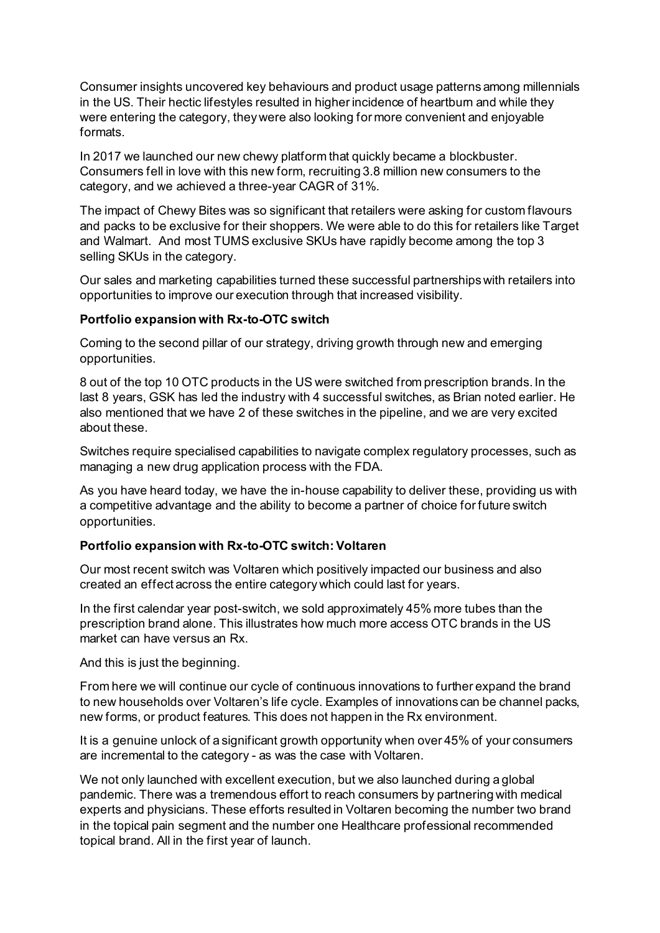Consumer insights uncovered key behaviours and product usage patterns among millennials in the US. Their hectic lifestyles resulted in higher incidence of heartburn and while they were entering the category, they were also looking for more convenient and enjoyable formats.

In 2017 we launched our new chewy platform that quickly became a blockbuster. Consumers fell in love with this new form, recruiting 3.8 million new consumers to the category, and we achieved a three-year CAGR of 31%.

The impact of Chewy Bites was so significant that retailers were asking for custom flavours and packs to be exclusive for their shoppers. We were able to do this for retailers like Target and Walmart. And most TUMS exclusive SKUs have rapidly become among the top 3 selling SKUs in the category.

Our sales and marketing capabilities turned these successful partnerships with retailers into opportunities to improve our execution through that increased visibility.

## **Portfolio expansion with Rx-to-OTC switch**

Coming to the second pillar of our strategy, driving growth through new and emerging opportunities.

8 out of the top 10 OTC products in the US were switched from prescription brands. In the last 8 years, GSK has led the industry with 4 successful switches, as Brian noted earlier. He also mentioned that we have 2 of these switches in the pipeline, and we are very excited about these.

Switches require specialised capabilities to navigate complex regulatory processes, such as managing a new drug application process with the FDA.

As you have heard today, we have the in-house capability to deliver these, providing us with a competitive advantage and the ability to become a partner of choice for future switch opportunities.

## **Portfolio expansion with Rx-to-OTC switch: Voltaren**

Our most recent switch was Voltaren which positively impacted our business and also created an effect across the entire category which could last for years.

In the first calendar year post-switch, we sold approximately 45% more tubes than the prescription brand alone. This illustrates how much more access OTC brands in the US market can have versus an Rx.

And this is just the beginning.

From here we will continue our cycle of continuous innovations to further expand the brand to new households over Voltaren's life cycle. Examples of innovations can be channel packs, new forms, or product features. This does not happen in the Rx environment.

It is a genuine unlock of a significant growth opportunity when over 45% of your consumers are incremental to the category - as was the case with Voltaren.

We not only launched with excellent execution, but we also launched during a global pandemic. There was a tremendous effort to reach consumers by partnering with medical experts and physicians. These efforts resulted in Voltaren becoming the number two brand in the topical pain segment and the number one Healthcare professional recommended topical brand. All in the first year of launch.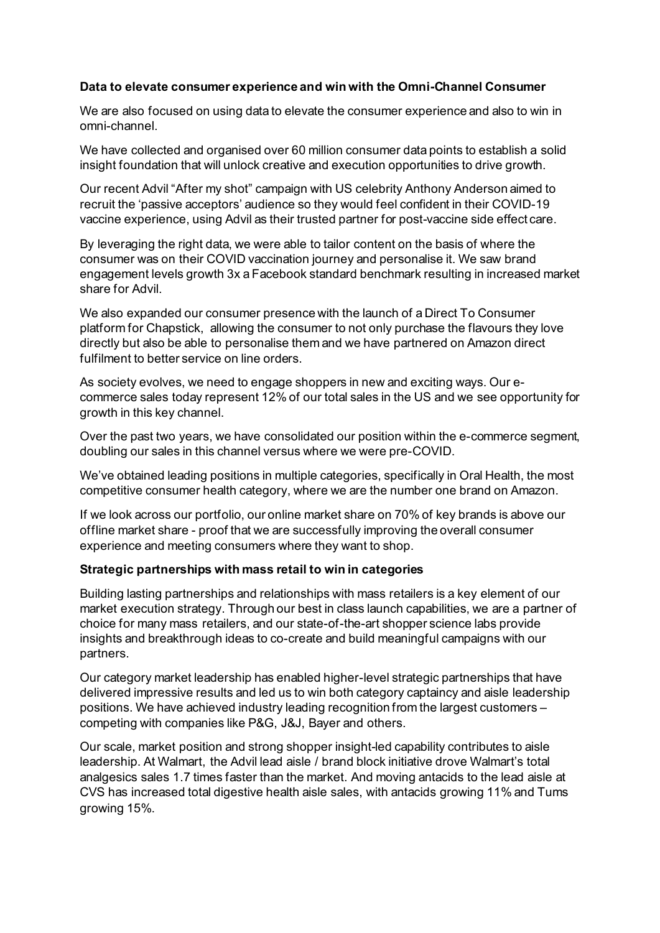## **Data to elevate consumer experience and win with the Omni-Channel Consumer**

We are also focused on using data to elevate the consumer experience and also to win in omni-channel.

We have collected and organised over 60 million consumer data points to establish a solid insight foundation that will unlock creative and execution opportunities to drive growth.

Our recent Advil "After my shot" campaign with US celebrity Anthony Anderson aimed to recruit the 'passive acceptors' audience so they would feel confident in their COVID-19 vaccine experience, using Advil as their trusted partner for post-vaccine side effect care.

By leveraging the right data, we were able to tailor content on the basis of where the consumer was on their COVID vaccination journey and personalise it. We saw brand engagement levels growth 3x a Facebook standard benchmark resulting in increased market share for Advil.

We also expanded our consumer presence with the launch of a Direct To Consumer platform for Chapstick, allowing the consumer to not only purchase the flavours they love directly but also be able to personalise them and we have partnered on Amazon direct fulfilment to better service on line orders.

As society evolves, we need to engage shoppers in new and exciting ways. Our ecommerce sales today represent 12% of our total sales in the US and we see opportunity for growth in this key channel.

Over the past two years, we have consolidated our position within the e-commerce segment, doubling our sales in this channel versus where we were pre-COVID.

We've obtained leading positions in multiple categories, specifically in Oral Health, the most competitive consumer health category, where we are the number one brand on Amazon.

If we look across our portfolio, our online market share on 70% of key brands is above our offline market share - proof that we are successfully improving the overall consumer experience and meeting consumers where they want to shop.

## **Strategic partnerships with mass retail to win in categories**

Building lasting partnerships and relationships with mass retailers is a key element of our market execution strategy. Through our best in class launch capabilities, we are a partner of choice for many mass retailers, and our state-of-the-art shopper science labs provide insights and breakthrough ideas to co-create and build meaningful campaigns with our partners.

Our category market leadership has enabled higher-level strategic partnerships that have delivered impressive results and led us to win both category captaincy and aisle leadership positions. We have achieved industry leading recognition from the largest customers – competing with companies like P&G, J&J, Bayer and others.

Our scale, market position and strong shopper insight-led capability contributes to aisle leadership. At Walmart, the Advil lead aisle / brand block initiative drove Walmart's total analgesics sales 1.7 times faster than the market. And moving antacids to the lead aisle at CVS has increased total digestive health aisle sales, with antacids growing 11% and Tums growing 15%.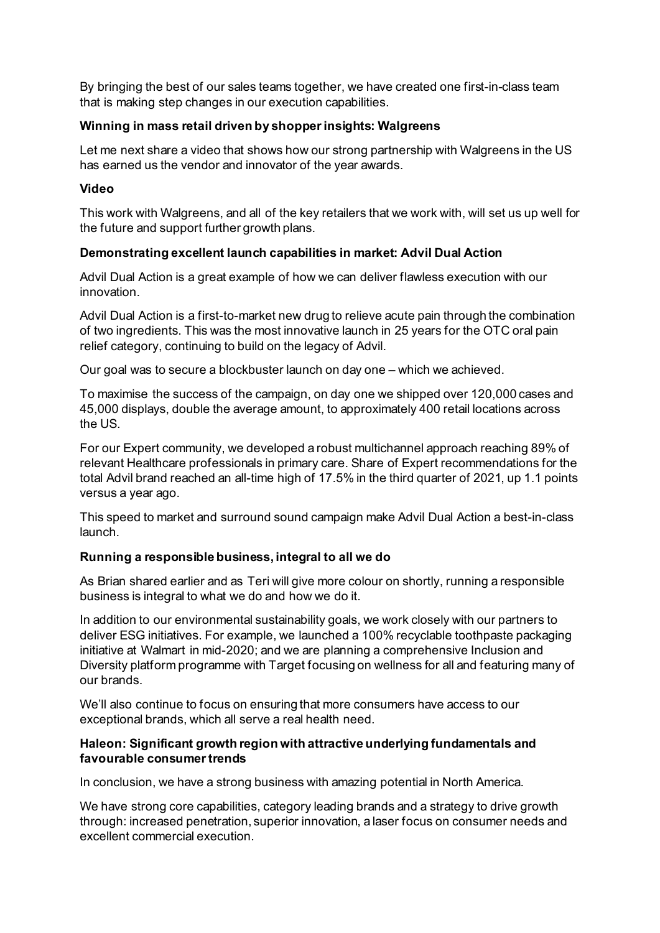By bringing the best of our sales teams together, we have created one first-in-class team that is making step changes in our execution capabilities.

# **Winning in mass retail driven by shopper insights: Walgreens**

Let me next share a video that shows how our strong partnership with Walgreens in the US has earned us the vendor and innovator of the year awards.

# **Video**

This work with Walgreens, and all of the key retailers that we work with, will set us up well for the future and support further growth plans.

# **Demonstrating excellent launch capabilities in market: Advil Dual Action**

Advil Dual Action is a great example of how we can deliver flawless execution with our innovation.

Advil Dual Action is a first-to-market new drug to relieve acute pain through the combination of two ingredients. This was the most innovative launch in 25 years for the OTC oral pain relief category, continuing to build on the legacy of Advil.

Our goal was to secure a blockbuster launch on day one – which we achieved.

To maximise the success of the campaign, on day one we shipped over 120,000 cases and 45,000 displays, double the average amount, to approximately 400 retail locations across the US.

For our Expert community, we developed a robust multichannel approach reaching 89% of relevant Healthcare professionals in primary care. Share of Expert recommendations for the total Advil brand reached an all-time high of 17.5% in the third quarter of 2021, up 1.1 points versus a year ago.

This speed to market and surround sound campaign make Advil Dual Action a best-in-class launch.

# **Running a responsible business, integral to all we do**

As Brian shared earlier and as Teri will give more colour on shortly, running a responsible business is integral to what we do and how we do it.

In addition to our environmental sustainability goals, we work closely with our partners to deliver ESG initiatives. For example, we launched a 100% recyclable toothpaste packaging initiative at Walmart in mid-2020; and we are planning a comprehensive Inclusion and Diversity platform programme with Target focusing on wellness for all and featuring many of our brands.

We'll also continue to focus on ensuring that more consumers have access to our exceptional brands, which all serve a real health need.

## **Haleon: Significant growth region with attractive underlying fundamentals and favourable consumer trends**

In conclusion, we have a strong business with amazing potential in North America.

We have strong core capabilities, category leading brands and a strategy to drive growth through: increased penetration, superior innovation, a laser focus on consumer needs and excellent commercial execution.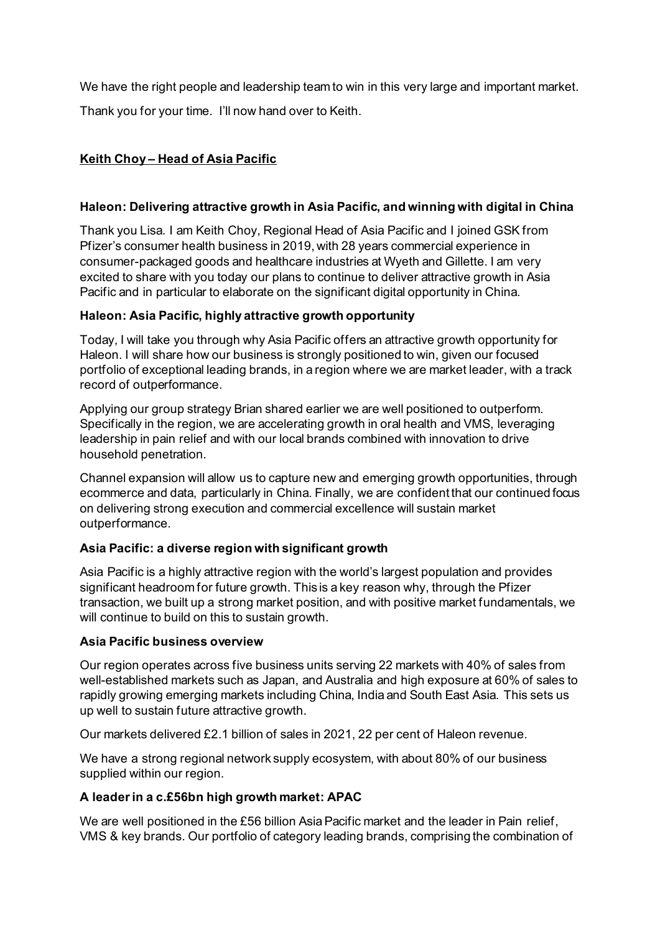We have the right people and leadership team to win in this very large and important market. Thank you for your time. I'll now hand over to Keith.

# **Keith Choy – Head of Asia Pacific**

# **Haleon: Delivering attractive growth in Asia Pacific, and winning with digital in China**

Thank you Lisa. I am Keith Choy, Regional Head of Asia Pacific and I joined GSK from Pfizer's consumer health business in 2019, with 28 years commercial experience in consumer-packaged goods and healthcare industries at Wyeth and Gillette. I am very excited to share with you today our plans to continue to deliver attractive growth in Asia Pacific and in particular to elaborate on the significant digital opportunity in China.

# **Haleon: Asia Pacific, highly attractive growth opportunity**

Today, I will take you through why Asia Pacific offers an attractive growth opportunity for Haleon. I will share how our business is strongly positioned to win, given our focused portfolio of exceptional leading brands, in a region where we are market leader, with a track record of outperformance.

Applying our group strategy Brian shared earlier we are well positioned to outperform. Specifically in the region, we are accelerating growth in oral health and VMS, leveraging leadership in pain relief and with our local brands combined with innovation to drive household penetration.

Channel expansion will allow us to capture new and emerging growth opportunities, through ecommerce and data, particularly in China. Finally, we are confident that our continued focus on delivering strong execution and commercial excellence will sustain market outperformance.

# **Asia Pacific: a diverse region with significant growth**

Asia Pacific is a highly attractive region with the world's largest population and provides significant headroom for future growth. This is a key reason why, through the Pfizer transaction, we built up a strong market position, and with positive market fundamentals, we will continue to build on this to sustain growth.

# **Asia Pacific business overview**

Our region operates across five business units serving 22 markets with 40% of sales from well-established markets such as Japan, and Australia and high exposure at 60% of sales to rapidly growing emerging markets including China, India and South East Asia. This sets us up well to sustain future attractive growth.

Our markets delivered £2.1 billion of sales in 2021, 22 per cent of Haleon revenue.

We have a strong regional network supply ecosystem, with about 80% of our business supplied within our region.

# **A leader in a c.£56bn high growth market: APAC**

We are well positioned in the £56 billion Asia Pacific market and the leader in Pain relief, VMS & key brands. Our portfolio of category leading brands, comprising the combination of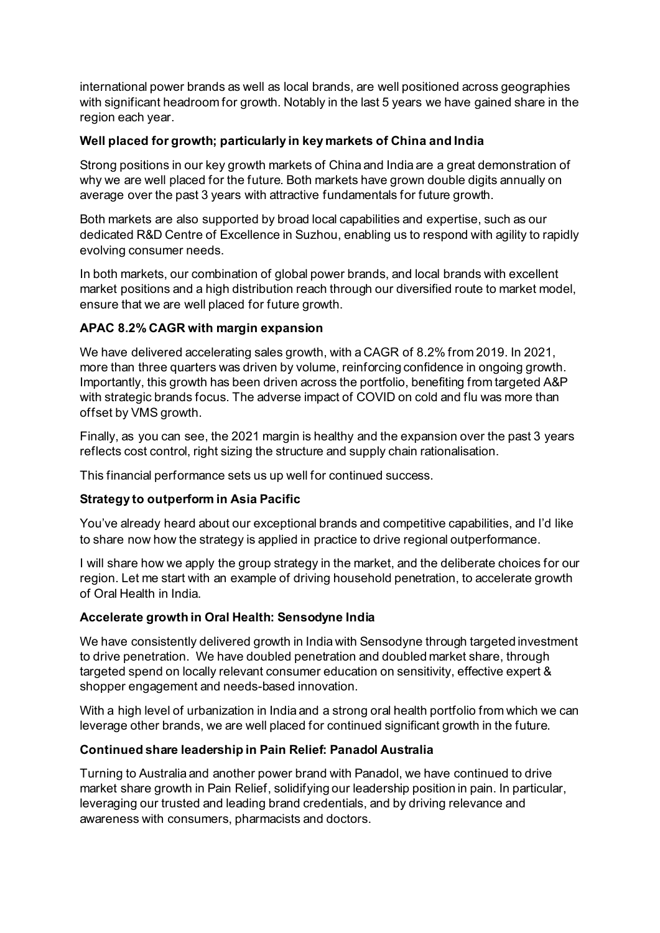international power brands as well as local brands, are well positioned across geographies with significant headroom for growth. Notably in the last 5 years we have gained share in the region each year.

# **Well placed for growth; particularly in key markets of China and India**

Strong positions in our key growth markets of China and India are a great demonstration of why we are well placed for the future. Both markets have grown double digits annually on average over the past 3 years with attractive fundamentals for future growth.

Both markets are also supported by broad local capabilities and expertise, such as our dedicated R&D Centre of Excellence in Suzhou, enabling us to respond with agility to rapidly evolving consumer needs.

In both markets, our combination of global power brands, and local brands with excellent market positions and a high distribution reach through our diversified route to market model, ensure that we are well placed for future growth.

# **APAC 8.2% CAGR with margin expansion**

We have delivered accelerating sales growth, with a CAGR of 8.2% from 2019. In 2021, more than three quarters was driven by volume, reinforcing confidence in ongoing growth. Importantly, this growth has been driven across the portfolio, benefiting from targeted A&P with strategic brands focus. The adverse impact of COVID on cold and flu was more than offset by VMS growth.

Finally, as you can see, the 2021 margin is healthy and the expansion over the past 3 years reflects cost control, right sizing the structure and supply chain rationalisation.

This financial performance sets us up well for continued success.

# **Strategy to outperform in Asia Pacific**

You've already heard about our exceptional brands and competitive capabilities, and I'd like to share now how the strategy is applied in practice to drive regional outperformance.

I will share how we apply the group strategy in the market, and the deliberate choices for our region. Let me start with an example of driving household penetration, to accelerate growth of Oral Health in India.

# **Accelerate growth in Oral Health: Sensodyne India**

We have consistently delivered growth in India with Sensodyne through targeted investment to drive penetration. We have doubled penetration and doubled market share, through targeted spend on locally relevant consumer education on sensitivity, effective expert & shopper engagement and needs-based innovation.

With a high level of urbanization in India and a strong oral health portfolio from which we can leverage other brands, we are well placed for continued significant growth in the future.

# **Continued share leadership in Pain Relief: Panadol Australia**

Turning to Australia and another power brand with Panadol, we have continued to drive market share growth in Pain Relief, solidifying our leadership position in pain. In particular, leveraging our trusted and leading brand credentials, and by driving relevance and awareness with consumers, pharmacists and doctors.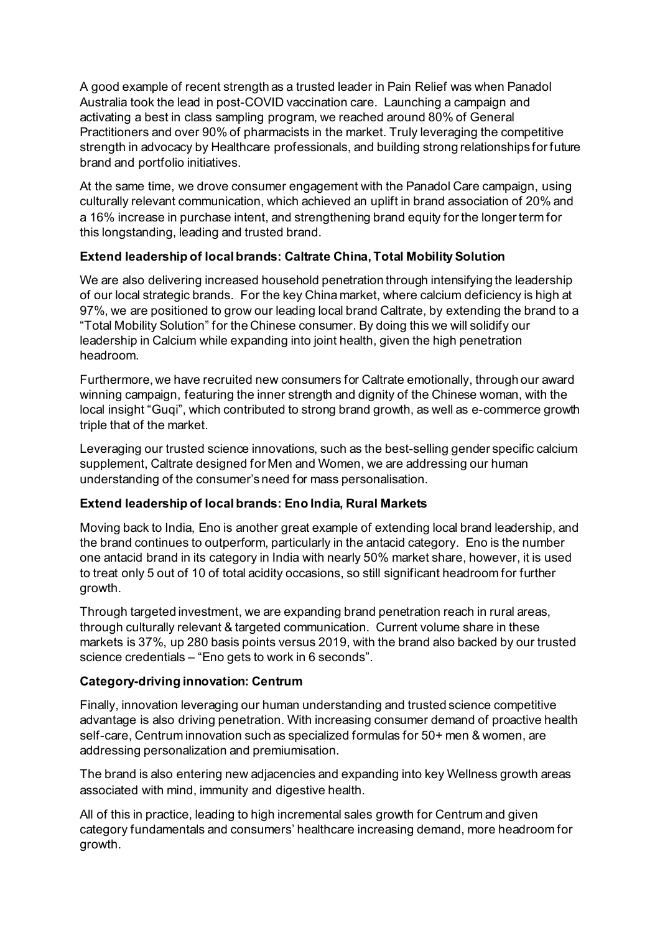A good example of recent strength as a trusted leader in Pain Relief was when Panadol Australia took the lead in post-COVID vaccination care. Launching a campaign and activating a best in class sampling program, we reached around 80% of General Practitioners and over 90% of pharmacists in the market. Truly leveraging the competitive strength in advocacy by Healthcare professionals, and building strong relationships for future brand and portfolio initiatives.

At the same time, we drove consumer engagement with the Panadol Care campaign, using culturally relevant communication, which achieved an uplift in brand association of 20% and a 16% increase in purchase intent, and strengthening brand equity for the longer term for this longstanding, leading and trusted brand.

# **Extend leadership of local brands: Caltrate China, Total Mobility Solution**

We are also delivering increased household penetration through intensifying the leadership of our local strategic brands. For the key China market, where calcium deficiency is high at 97%, we are positioned to grow our leading local brand Caltrate, by extending the brand to a "Total Mobility Solution" for the Chinese consumer. By doing this we will solidify our leadership in Calcium while expanding into joint health, given the high penetration headroom.

Furthermore, we have recruited new consumers for Caltrate emotionally, through our award winning campaign, featuring the inner strength and dignity of the Chinese woman, with the local insight "Guqi", which contributed to strong brand growth, as well as e-commerce growth triple that of the market.

Leveraging our trusted science innovations, such as the best-selling gender specific calcium supplement, Caltrate designed for Men and Women, we are addressing our human understanding of the consumer's need for mass personalisation.

# **Extend leadership of local brands: Eno India, Rural Markets**

Moving back to India, Eno is another great example of extending local brand leadership, and the brand continues to outperform, particularly in the antacid category. Eno is the number one antacid brand in its category in India with nearly 50% market share, however, it is used to treat only 5 out of 10 of total acidity occasions, so still significant headroom for further growth.

Through targeted investment, we are expanding brand penetration reach in rural areas, through culturally relevant & targeted communication. Current volume share in these markets is 37%, up 280 basis points versus 2019, with the brand also backed by our trusted science credentials – "Eno gets to work in 6 seconds".

# **Category-driving innovation: Centrum**

Finally, innovation leveraging our human understanding and trusted science competitive advantage is also driving penetration. With increasing consumer demand of proactive health self-care, Centrum innovation such as specialized formulas for 50+ men & women, are addressing personalization and premiumisation.

The brand is also entering new adjacencies and expanding into key Wellness growth areas associated with mind, immunity and digestive health.

All of this in practice, leading to high incremental sales growth for Centrum and given category fundamentals and consumers' healthcare increasing demand, more headroom for growth.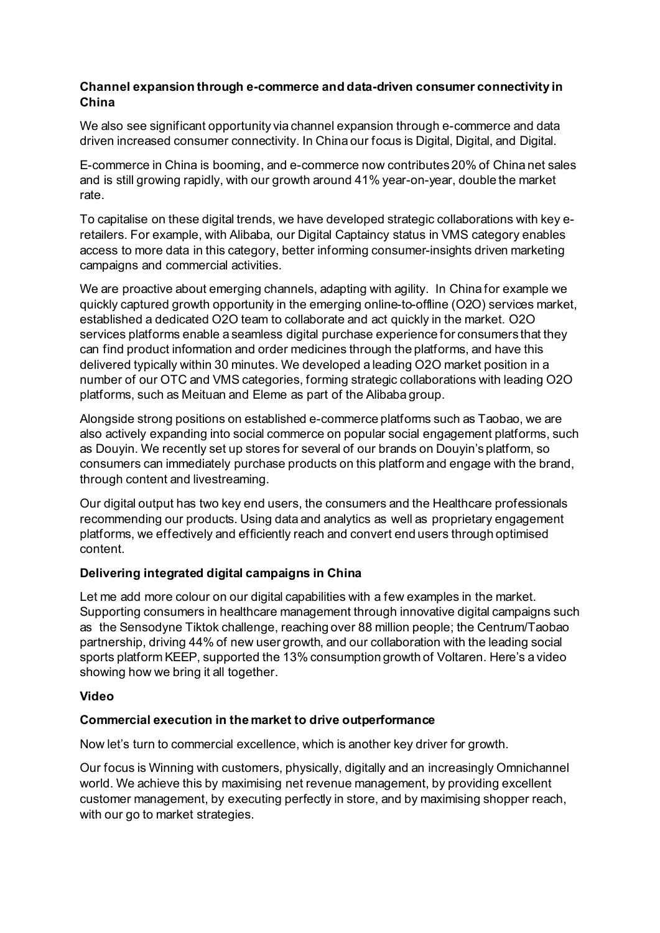# **Channel expansion through e-commerce and data-driven consumer connectivity in China**

We also see significant opportunity via channel expansion through e-commerce and data driven increased consumer connectivity. In China our focus is Digital, Digital, and Digital.

E-commerce in China is booming, and e-commerce now contributes 20% of China net sales and is still growing rapidly, with our growth around 41% year-on-year, double the market rate.

To capitalise on these digital trends, we have developed strategic collaborations with key eretailers. For example, with Alibaba, our Digital Captaincy status in VMS category enables access to more data in this category, better informing consumer-insights driven marketing campaigns and commercial activities.

We are proactive about emerging channels, adapting with agility. In China for example we quickly captured growth opportunity in the emerging online-to-offline (O2O) services market, established a dedicated O2O team to collaborate and act quickly in the market. O2O services platforms enable a seamless digital purchase experience for consumers that they can find product information and order medicines through the platforms, and have this delivered typically within 30 minutes. We developed a leading O2O market position in a number of our OTC and VMS categories, forming strategic collaborations with leading O2O platforms, such as Meituan and Eleme as part of the Alibaba group.

Alongside strong positions on established e-commerce platforms such as Taobao, we are also actively expanding into social commerce on popular social engagement platforms, such as Douyin. We recently set up stores for several of our brands on Douyin's platform, so consumers can immediately purchase products on this platform and engage with the brand, through content and livestreaming.

Our digital output has two key end users, the consumers and the Healthcare professionals recommending our products. Using data and analytics as well as proprietary engagement platforms, we effectively and efficiently reach and convert end users through optimised content.

# **Delivering integrated digital campaigns in China**

Let me add more colour on our digital capabilities with a few examples in the market. Supporting consumers in healthcare management through innovative digital campaigns such as the Sensodyne Tiktok challenge, reaching over 88 million people; the Centrum/Taobao partnership, driving 44% of new user growth, and our collaboration with the leading social sports platform KEEP, supported the 13% consumption growth of Voltaren. Here's a video showing how we bring it all together.

## **Video**

# **Commercial execution in the market to drive outperformance**

Now let's turn to commercial excellence, which is another key driver for growth.

Our focus is Winning with customers, physically, digitally and an increasingly Omnichannel world. We achieve this by maximising net revenue management, by providing excellent customer management, by executing perfectly in store, and by maximising shopper reach, with our go to market strategies.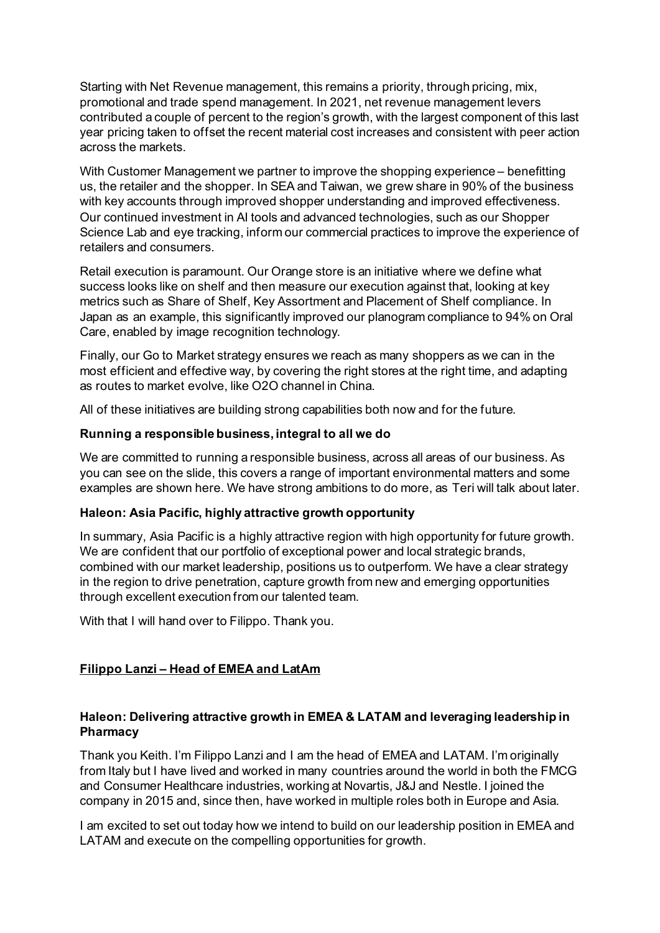Starting with Net Revenue management, this remains a priority, through pricing, mix, promotional and trade spend management. In 2021, net revenue management levers contributed a couple of percent to the region's growth, with the largest component of this last year pricing taken to offset the recent material cost increases and consistent with peer action across the markets.

With Customer Management we partner to improve the shopping experience – benefitting us, the retailer and the shopper. In SEA and Taiwan, we grew share in 90% of the business with key accounts through improved shopper understanding and improved effectiveness. Our continued investment in AI tools and advanced technologies, such as our Shopper Science Lab and eye tracking, inform our commercial practices to improve the experience of retailers and consumers.

Retail execution is paramount. Our Orange store is an initiative where we define what success looks like on shelf and then measure our execution against that, looking at key metrics such as Share of Shelf, Key Assortment and Placement of Shelf compliance. In Japan as an example, this significantly improved our planogram compliance to 94% on Oral Care, enabled by image recognition technology.

Finally, our Go to Market strategy ensures we reach as many shoppers as we can in the most efficient and effective way, by covering the right stores at the right time, and adapting as routes to market evolve, like O2O channel in China.

All of these initiatives are building strong capabilities both now and for the future.

# **Running a responsible business, integral to all we do**

We are committed to running a responsible business, across all areas of our business. As you can see on the slide, this covers a range of important environmental matters and some examples are shown here. We have strong ambitions to do more, as Teri will talk about later.

## **Haleon: Asia Pacific, highly attractive growth opportunity**

In summary, Asia Pacific is a highly attractive region with high opportunity for future growth. We are confident that our portfolio of exceptional power and local strategic brands, combined with our market leadership, positions us to outperform. We have a clear strategy in the region to drive penetration, capture growth from new and emerging opportunities through excellent execution from our talented team.

With that I will hand over to Filippo. Thank you.

# **Filippo Lanzi – Head of EMEA and LatAm**

# **Haleon: Delivering attractive growth in EMEA & LATAM and leveraging leadership in Pharmacy**

Thank you Keith. I'm Filippo Lanzi and I am the head of EMEA and LATAM. I'm originally from Italy but I have lived and worked in many countries around the world in both the FMCG and Consumer Healthcare industries, working at Novartis, J&J and Nestle. I joined the company in 2015 and, since then, have worked in multiple roles both in Europe and Asia.

I am excited to set out today how we intend to build on our leadership position in EMEA and LATAM and execute on the compelling opportunities for growth.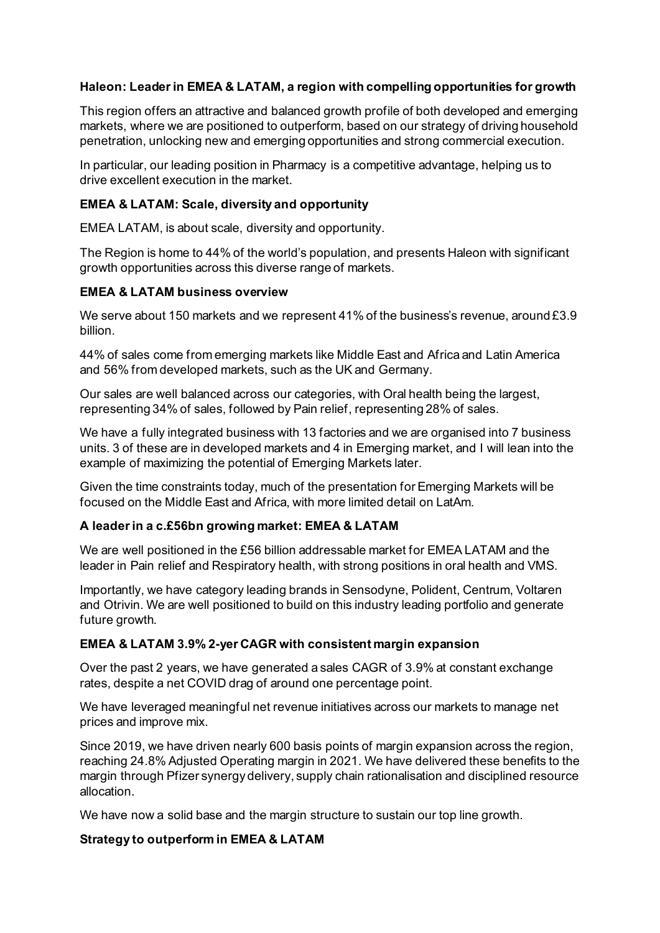# **Haleon: Leader in EMEA & LATAM, a region with compelling opportunities for growth**

This region offers an attractive and balanced growth profile of both developed and emerging markets, where we are positioned to outperform, based on our strategy of driving household penetration, unlocking new and emerging opportunities and strong commercial execution.

In particular, our leading position in Pharmacy is a competitive advantage, helping us to drive excellent execution in the market.

# **EMEA & LATAM: Scale, diversity and opportunity**

EMEA LATAM, is about scale, diversity and opportunity.

The Region is home to 44% of the world's population, and presents Haleon with significant growth opportunities across this diverse range of markets.

## **EMEA & LATAM business overview**

We serve about 150 markets and we represent 41% of the business's revenue, around £3.9 billion.

44% of sales come from emerging markets like Middle East and Africa and Latin America and 56% from developed markets, such as the UK and Germany.

Our sales are well balanced across our categories, with Oral health being the largest, representing 34% of sales, followed by Pain relief, representing 28% of sales.

We have a fully integrated business with 13 factories and we are organised into 7 business units. 3 of these are in developed markets and 4 in Emerging market, and I will lean into the example of maximizing the potential of Emerging Markets later.

Given the time constraints today, much of the presentation for Emerging Markets will be focused on the Middle East and Africa, with more limited detail on LatAm.

## **A leader in a c.£56bn growing market: EMEA & LATAM**

We are well positioned in the £56 billion addressable market for EMEA LATAM and the leader in Pain relief and Respiratory health, with strong positions in oral health and VMS.

Importantly, we have category leading brands in Sensodyne, Polident, Centrum, Voltaren and Otrivin. We are well positioned to build on this industry leading portfolio and generate future growth.

## **EMEA & LATAM 3.9% 2-yer CAGR with consistent margin expansion**

Over the past 2 years, we have generated a sales CAGR of 3.9% at constant exchange rates, despite a net COVID drag of around one percentage point.

We have leveraged meaningful net revenue initiatives across our markets to manage net prices and improve mix.

Since 2019, we have driven nearly 600 basis points of margin expansion across the region, reaching 24.8% Adjusted Operating margin in 2021. We have delivered these benefits to the margin through Pfizer synergy delivery, supply chain rationalisation and disciplined resource allocation.

We have now a solid base and the margin structure to sustain our top line growth.

## **Strategy to outperform in EMEA & LATAM**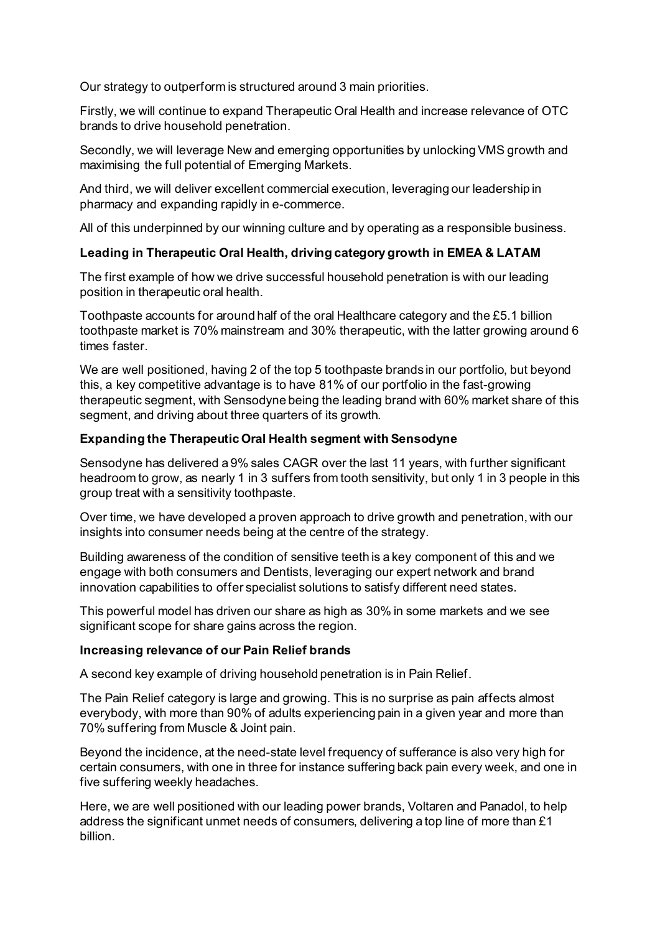Our strategy to outperform is structured around 3 main priorities.

Firstly, we will continue to expand Therapeutic Oral Health and increase relevance of OTC brands to drive household penetration.

Secondly, we will leverage New and emerging opportunities by unlocking VMS growth and maximising the full potential of Emerging Markets.

And third, we will deliver excellent commercial execution, leveraging our leadership in pharmacy and expanding rapidly in e-commerce.

All of this underpinned by our winning culture and by operating as a responsible business.

## **Leading in Therapeutic Oral Health, driving category growth in EMEA & LATAM**

The first example of how we drive successful household penetration is with our leading position in therapeutic oral health.

Toothpaste accounts for around half of the oral Healthcare category and the £5.1 billion toothpaste market is 70% mainstream and 30% therapeutic, with the latter growing around 6 times faster.

We are well positioned, having 2 of the top 5 toothpaste brands in our portfolio, but beyond this, a key competitive advantage is to have 81% of our portfolio in the fast-growing therapeutic segment, with Sensodyne being the leading brand with 60% market share of this segment, and driving about three quarters of its growth.

### **Expanding the Therapeutic Oral Health segment with Sensodyne**

Sensodyne has delivered a 9% sales CAGR over the last 11 years, with further significant headroom to grow, as nearly 1 in 3 suffers from tooth sensitivity, but only 1 in 3 people in this group treat with a sensitivity toothpaste.

Over time, we have developed a proven approach to drive growth and penetration, with our insights into consumer needs being at the centre of the strategy.

Building awareness of the condition of sensitive teeth is a key component of this and we engage with both consumers and Dentists, leveraging our expert network and brand innovation capabilities to offer specialist solutions to satisfy different need states.

This powerful model has driven our share as high as 30% in some markets and we see significant scope for share gains across the region.

#### **Increasing relevance of our Pain Relief brands**

A second key example of driving household penetration is in Pain Relief.

The Pain Relief category is large and growing. This is no surprise as pain affects almost everybody, with more than 90% of adults experiencing pain in a given year and more than 70% suffering from Muscle & Joint pain.

Beyond the incidence, at the need-state level frequency of sufferance is also very high for certain consumers, with one in three for instance suffering back pain every week, and one in five suffering weekly headaches.

Here, we are well positioned with our leading power brands, Voltaren and Panadol, to help address the significant unmet needs of consumers, delivering a top line of more than £1 billion.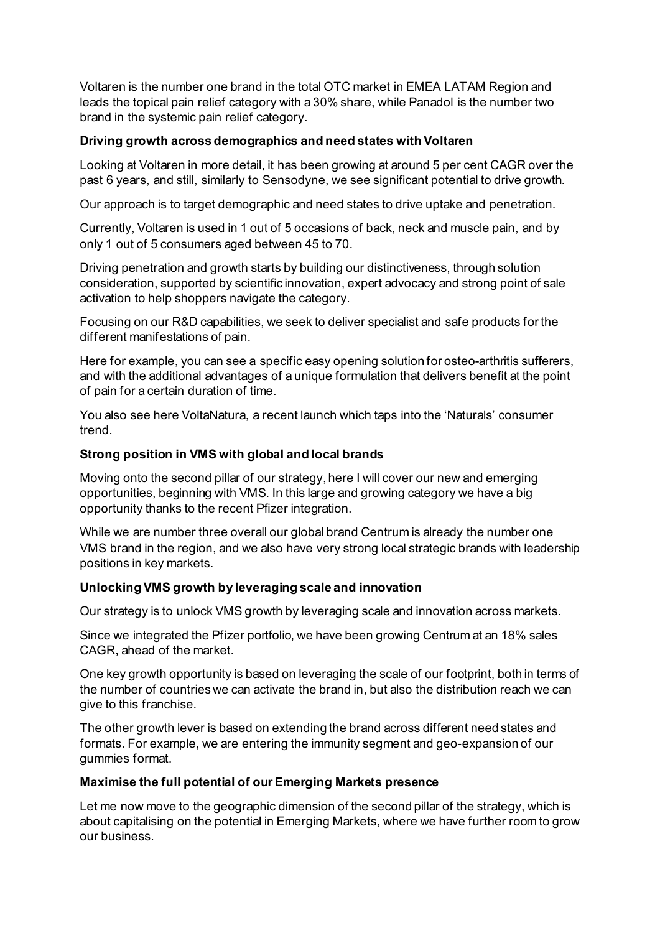Voltaren is the number one brand in the total OTC market in EMEA LATAM Region and leads the topical pain relief category with a 30% share, while Panadol is the number two brand in the systemic pain relief category.

# **Driving growth across demographics and need states with Voltaren**

Looking at Voltaren in more detail, it has been growing at around 5 per cent CAGR over the past 6 years, and still, similarly to Sensodyne, we see significant potential to drive growth.

Our approach is to target demographic and need states to drive uptake and penetration.

Currently, Voltaren is used in 1 out of 5 occasions of back, neck and muscle pain, and by only 1 out of 5 consumers aged between 45 to 70.

Driving penetration and growth starts by building our distinctiveness, through solution consideration, supported by scientific innovation, expert advocacy and strong point of sale activation to help shoppers navigate the category.

Focusing on our R&D capabilities, we seek to deliver specialist and safe products for the different manifestations of pain.

Here for example, you can see a specific easy opening solution for osteo-arthritis sufferers, and with the additional advantages of a unique formulation that delivers benefit at the point of pain for a certain duration of time.

You also see here VoltaNatura, a recent launch which taps into the 'Naturals' consumer trend.

# **Strong position in VMS with global and local brands**

Moving onto the second pillar of our strategy, here I will cover our new and emerging opportunities, beginning with VMS. In this large and growing category we have a big opportunity thanks to the recent Pfizer integration.

While we are number three overall our global brand Centrum is already the number one VMS brand in the region, and we also have very strong local strategic brands with leadership positions in key markets.

# **Unlocking VMS growth by leveraging scale and innovation**

Our strategy is to unlock VMS growth by leveraging scale and innovation across markets.

Since we integrated the Pfizer portfolio, we have been growing Centrum at an 18% sales CAGR, ahead of the market.

One key growth opportunity is based on leveraging the scale of our footprint, both in terms of the number of countries we can activate the brand in, but also the distribution reach we can give to this franchise.

The other growth lever is based on extending the brand across different need states and formats. For example, we are entering the immunity segment and geo-expansion of our gummies format.

# **Maximise the full potential of our Emerging Markets presence**

Let me now move to the geographic dimension of the second pillar of the strategy, which is about capitalising on the potential in Emerging Markets, where we have further room to grow our business.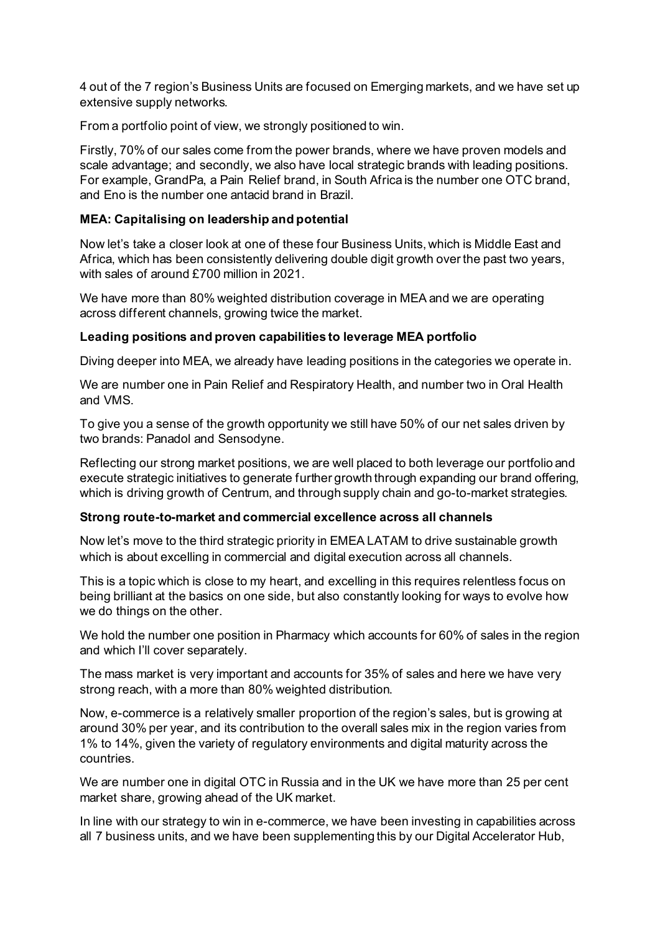4 out of the 7 region's Business Units are focused on Emerging markets, and we have set up extensive supply networks.

From a portfolio point of view, we strongly positioned to win.

Firstly, 70% of our sales come from the power brands, where we have proven models and scale advantage; and secondly, we also have local strategic brands with leading positions. For example, GrandPa, a Pain Relief brand, in South Africa is the number one OTC brand, and Eno is the number one antacid brand in Brazil.

## **MEA: Capitalising on leadership and potential**

Now let's take a closer look at one of these four Business Units, which is Middle East and Africa, which has been consistently delivering double digit growth over the past two years, with sales of around £700 million in 2021.

We have more than 80% weighted distribution coverage in MEA and we are operating across different channels, growing twice the market.

### **Leading positions and proven capabilities to leverage MEA portfolio**

Diving deeper into MEA, we already have leading positions in the categories we operate in.

We are number one in Pain Relief and Respiratory Health, and number two in Oral Health and VMS.

To give you a sense of the growth opportunity we still have 50% of our net sales driven by two brands: Panadol and Sensodyne.

Reflecting our strong market positions, we are well placed to both leverage our portfolio and execute strategic initiatives to generate further growth through expanding our brand offering, which is driving growth of Centrum, and through supply chain and go-to-market strategies.

#### **Strong route-to-market and commercial excellence across all channels**

Now let's move to the third strategic priority in EMEA LATAM to drive sustainable growth which is about excelling in commercial and digital execution across all channels.

This is a topic which is close to my heart, and excelling in this requires relentless focus on being brilliant at the basics on one side, but also constantly looking for ways to evolve how we do things on the other.

We hold the number one position in Pharmacy which accounts for 60% of sales in the region and which I'll cover separately.

The mass market is very important and accounts for 35% of sales and here we have very strong reach, with a more than 80% weighted distribution.

Now, e-commerce is a relatively smaller proportion of the region's sales, but is growing at around 30% per year, and its contribution to the overall sales mix in the region varies from 1% to 14%, given the variety of regulatory environments and digital maturity across the countries.

We are number one in digital OTC in Russia and in the UK we have more than 25 per cent market share, growing ahead of the UK market.

In line with our strategy to win in e-commerce, we have been investing in capabilities across all 7 business units, and we have been supplementing this by our Digital Accelerator Hub,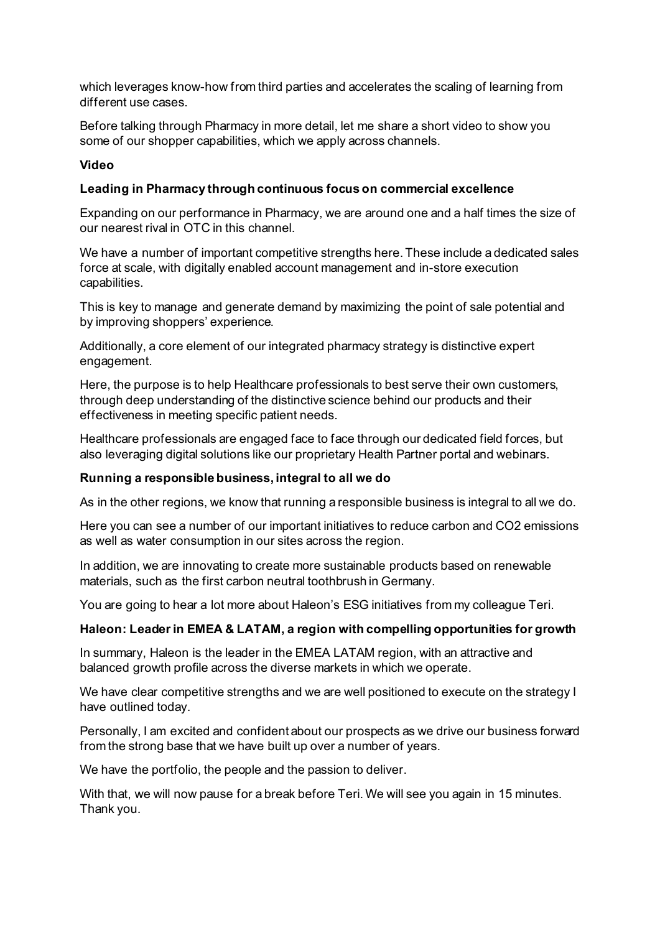which leverages know-how from third parties and accelerates the scaling of learning from different use cases.

Before talking through Pharmacy in more detail, let me share a short video to show you some of our shopper capabilities, which we apply across channels.

## **Video**

## **Leading in Pharmacy through continuous focus on commercial excellence**

Expanding on our performance in Pharmacy, we are around one and a half times the size of our nearest rival in OTC in this channel.

We have a number of important competitive strengths here. These include a dedicated sales force at scale, with digitally enabled account management and in-store execution capabilities.

This is key to manage and generate demand by maximizing the point of sale potential and by improving shoppers' experience.

Additionally, a core element of our integrated pharmacy strategy is distinctive expert engagement.

Here, the purpose is to help Healthcare professionals to best serve their own customers, through deep understanding of the distinctive science behind our products and their effectiveness in meeting specific patient needs.

Healthcare professionals are engaged face to face through our dedicated field forces, but also leveraging digital solutions like our proprietary Health Partner portal and webinars.

## **Running a responsible business, integral to all we do**

As in the other regions, we know that running a responsible business is integral to all we do.

Here you can see a number of our important initiatives to reduce carbon and CO2 emissions as well as water consumption in our sites across the region.

In addition, we are innovating to create more sustainable products based on renewable materials, such as the first carbon neutral toothbrush in Germany.

You are going to hear a lot more about Haleon's ESG initiatives from my colleague Teri.

## **Haleon: Leader in EMEA & LATAM, a region with compelling opportunities for growth**

In summary, Haleon is the leader in the EMEA LATAM region, with an attractive and balanced growth profile across the diverse markets in which we operate.

We have clear competitive strengths and we are well positioned to execute on the strategy I have outlined today.

Personally, I am excited and confident about our prospects as we drive our business forward from the strong base that we have built up over a number of years.

We have the portfolio, the people and the passion to deliver.

With that, we will now pause for a break before Teri. We will see you again in 15 minutes. Thank you.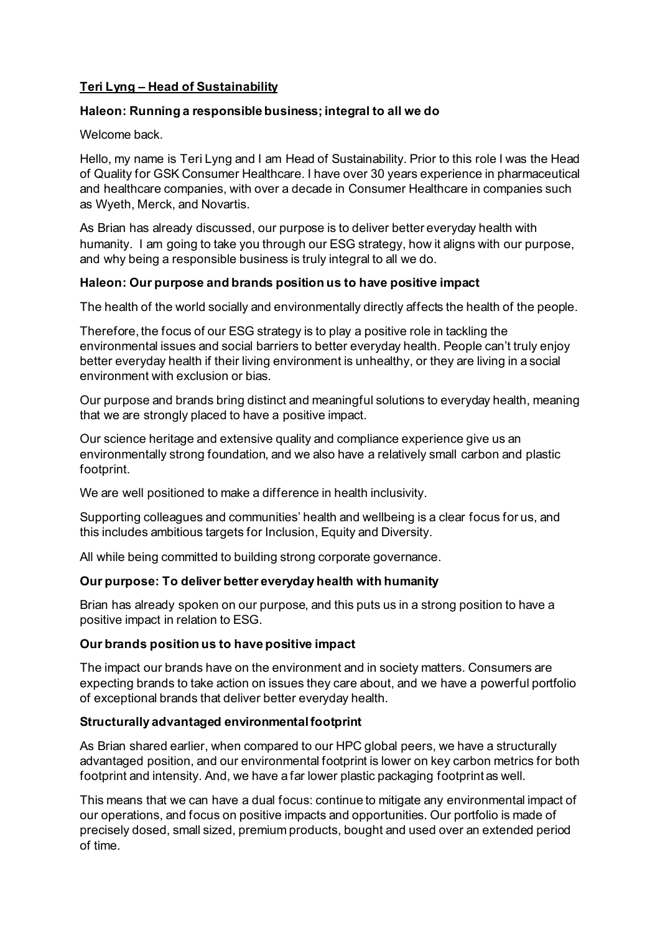# **Teri Lyng – Head of Sustainability**

# **Haleon: Running a responsible business; integral to all we do**

# Welcome back.

Hello, my name is Teri Lyng and I am Head of Sustainability. Prior to this role I was the Head of Quality for GSK Consumer Healthcare. I have over 30 years experience in pharmaceutical and healthcare companies, with over a decade in Consumer Healthcare in companies such as Wyeth, Merck, and Novartis.

As Brian has already discussed, our purpose is to deliver better everyday health with humanity. I am going to take you through our ESG strategy, how it aligns with our purpose, and why being a responsible business is truly integral to all we do.

# **Haleon: Our purpose and brands position us to have positive impact**

The health of the world socially and environmentally directly affects the health of the people.

Therefore, the focus of our ESG strategy is to play a positive role in tackling the environmental issues and social barriers to better everyday health. People can't truly enjoy better everyday health if their living environment is unhealthy, or they are living in a social environment with exclusion or bias.

Our purpose and brands bring distinct and meaningful solutions to everyday health, meaning that we are strongly placed to have a positive impact.

Our science heritage and extensive quality and compliance experience give us an environmentally strong foundation, and we also have a relatively small carbon and plastic footprint.

We are well positioned to make a difference in health inclusivity.

Supporting colleagues and communities' health and wellbeing is a clear focus for us, and this includes ambitious targets for Inclusion, Equity and Diversity.

All while being committed to building strong corporate governance.

# **Our purpose: To deliver better everyday health with humanity**

Brian has already spoken on our purpose, and this puts us in a strong position to have a positive impact in relation to ESG.

# **Our brands position us to have positive impact**

The impact our brands have on the environment and in society matters. Consumers are expecting brands to take action on issues they care about, and we have a powerful portfolio of exceptional brands that deliver better everyday health.

# **Structurally advantaged environmental footprint**

As Brian shared earlier, when compared to our HPC global peers, we have a structurally advantaged position, and our environmental footprint is lower on key carbon metrics for both footprint and intensity. And, we have a far lower plastic packaging footprint as well.

This means that we can have a dual focus: continue to mitigate any environmental impact of our operations, and focus on positive impacts and opportunities. Our portfolio is made of precisely dosed, small sized, premium products, bought and used over an extended period of time.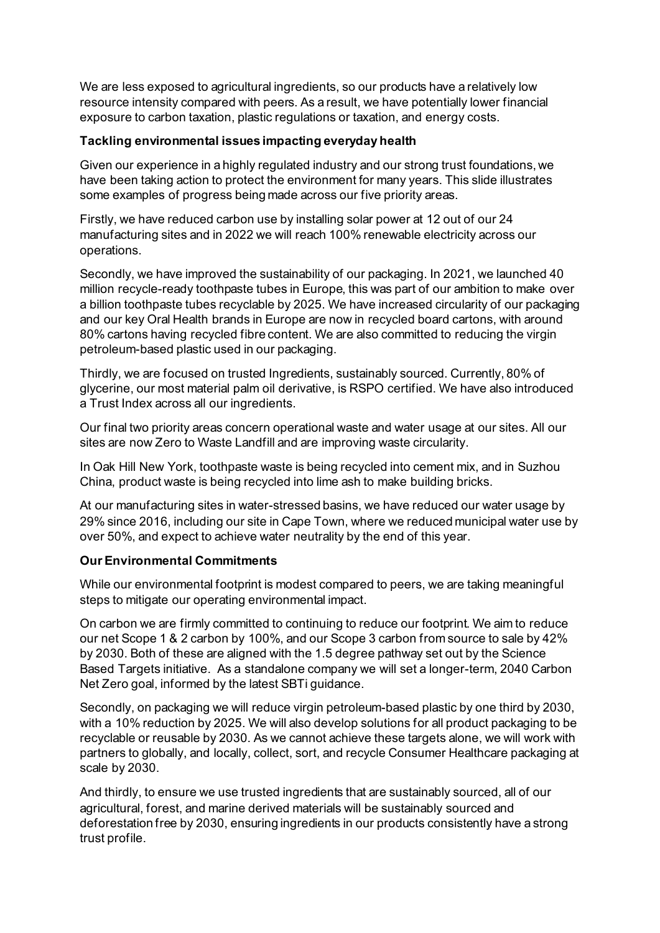We are less exposed to agricultural ingredients, so our products have a relatively low resource intensity compared with peers. As a result, we have potentially lower financial exposure to carbon taxation, plastic regulations or taxation, and energy costs.

# **Tackling environmental issues impacting everyday health**

Given our experience in a highly regulated industry and our strong trust foundations, we have been taking action to protect the environment for many years. This slide illustrates some examples of progress being made across our five priority areas.

Firstly, we have reduced carbon use by installing solar power at 12 out of our 24 manufacturing sites and in 2022 we will reach 100% renewable electricity across our operations.

Secondly, we have improved the sustainability of our packaging. In 2021, we launched 40 million recycle-ready toothpaste tubes in Europe, this was part of our ambition to make over a billion toothpaste tubes recyclable by 2025. We have increased circularity of our packaging and our key Oral Health brands in Europe are now in recycled board cartons, with around 80% cartons having recycled fibre content. We are also committed to reducing the virgin petroleum-based plastic used in our packaging.

Thirdly, we are focused on trusted Ingredients, sustainably sourced. Currently, 80% of glycerine, our most material palm oil derivative, is RSPO certified. We have also introduced a Trust Index across all our ingredients.

Our final two priority areas concern operational waste and water usage at our sites. All our sites are now Zero to Waste Landfill and are improving waste circularity.

In Oak Hill New York, toothpaste waste is being recycled into cement mix, and in Suzhou China, product waste is being recycled into lime ash to make building bricks.

At our manufacturing sites in water-stressed basins, we have reduced our water usage by 29% since 2016, including our site in Cape Town, where we reduced municipal water use by over 50%, and expect to achieve water neutrality by the end of this year.

## **Our Environmental Commitments**

While our environmental footprint is modest compared to peers, we are taking meaningful steps to mitigate our operating environmental impact.

On carbon we are firmly committed to continuing to reduce our footprint. We aim to reduce our net Scope 1 & 2 carbon by 100%, and our Scope 3 carbon from source to sale by 42% by 2030. Both of these are aligned with the 1.5 degree pathway set out by the Science Based Targets initiative. As a standalone company we will set a longer-term, 2040 Carbon Net Zero goal, informed by the latest SBTi guidance.

Secondly, on packaging we will reduce virgin petroleum-based plastic by one third by 2030, with a 10% reduction by 2025. We will also develop solutions for all product packaging to be recyclable or reusable by 2030. As we cannot achieve these targets alone, we will work with partners to globally, and locally, collect, sort, and recycle Consumer Healthcare packaging at scale by 2030.

And thirdly, to ensure we use trusted ingredients that are sustainably sourced, all of our agricultural, forest, and marine derived materials will be sustainably sourced and deforestation free by 2030, ensuring ingredients in our products consistently have a strong trust profile.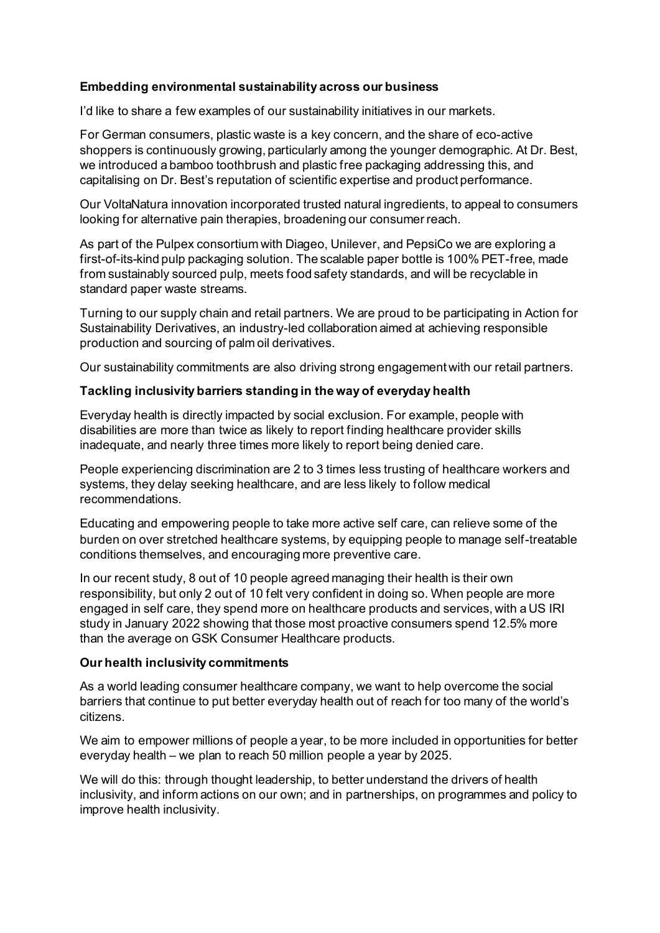# **Embedding environmental sustainability across our business**

I'd like to share a few examples of our sustainability initiatives in our markets.

For German consumers, plastic waste is a key concern, and the share of eco-active shoppers is continuously growing, particularly among the younger demographic. At Dr. Best, we introduced a bamboo toothbrush and plastic free packaging addressing this, and capitalising on Dr. Best's reputation of scientific expertise and product performance.

Our VoltaNatura innovation incorporated trusted natural ingredients, to appeal to consumers looking for alternative pain therapies, broadening our consumer reach.

As part of the Pulpex consortium with Diageo, Unilever, and PepsiCo we are exploring a first-of-its-kind pulp packaging solution. The scalable paper bottle is 100% PET-free, made from sustainably sourced pulp, meets food safety standards, and will be recyclable in standard paper waste streams.

Turning to our supply chain and retail partners. We are proud to be participating in Action for Sustainability Derivatives, an industry-led collaboration aimed at achieving responsible production and sourcing of palm oil derivatives.

Our sustainability commitments are also driving strong engagement with our retail partners.

# **Tackling inclusivity barriers standing in the way of everyday health**

Everyday health is directly impacted by social exclusion. For example, people with disabilities are more than twice as likely to report finding healthcare provider skills inadequate, and nearly three times more likely to report being denied care.

People experiencing discrimination are 2 to 3 times less trusting of healthcare workers and systems, they delay seeking healthcare, and are less likely to follow medical recommendations.

Educating and empowering people to take more active self care, can relieve some of the burden on over stretched healthcare systems, by equipping people to manage self-treatable conditions themselves, and encouraging more preventive care.

In our recent study, 8 out of 10 people agreed managing their health is their own responsibility, but only 2 out of 10 felt very confident in doing so. When people are more engaged in self care, they spend more on healthcare products and services, with a US IRI study in January 2022 showing that those most proactive consumers spend 12.5% more than the average on GSK Consumer Healthcare products.

## **Our health inclusivity commitments**

As a world leading consumer healthcare company, we want to help overcome the social barriers that continue to put better everyday health out of reach for too many of the world's citizens.

We aim to empower millions of people a year, to be more included in opportunities for better everyday health – we plan to reach 50 million people a year by 2025.

We will do this: through thought leadership, to better understand the drivers of health inclusivity, and inform actions on our own; and in partnerships, on programmes and policy to improve health inclusivity.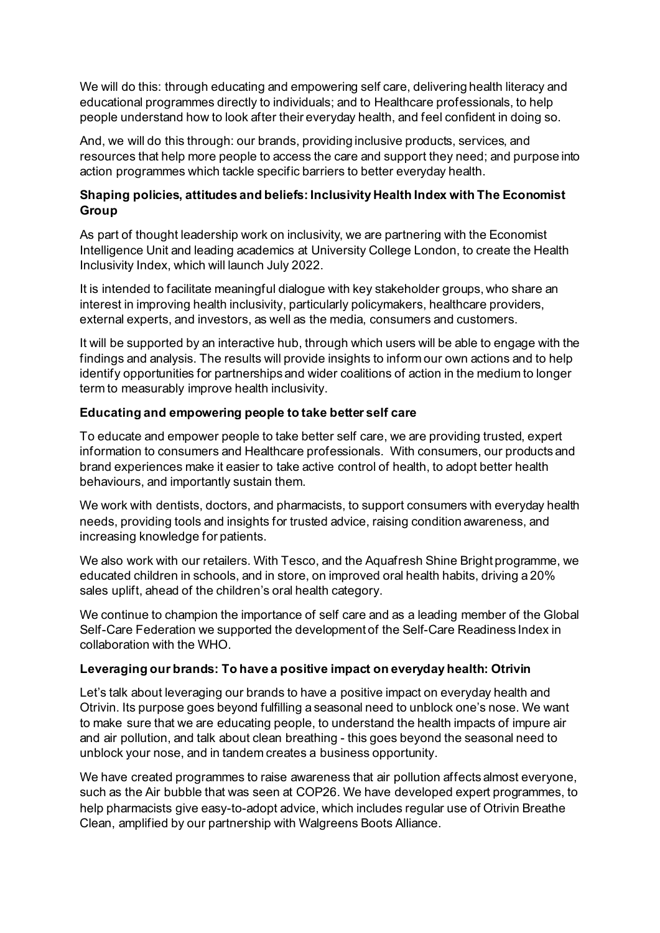We will do this: through educating and empowering self care, delivering health literacy and educational programmes directly to individuals; and to Healthcare professionals, to help people understand how to look after their everyday health, and feel confident in doing so.

And, we will do this through: our brands, providing inclusive products, services, and resources that help more people to access the care and support they need; and purpose into action programmes which tackle specific barriers to better everyday health.

# **Shaping policies, attitudes and beliefs: Inclusivity Health Index with The Economist Group**

As part of thought leadership work on inclusivity, we are partnering with the Economist Intelligence Unit and leading academics at University College London, to create the Health Inclusivity Index, which will launch July 2022.

It is intended to facilitate meaningful dialogue with key stakeholder groups, who share an interest in improving health inclusivity, particularly policymakers, healthcare providers, external experts, and investors, as well as the media, consumers and customers.

It will be supported by an interactive hub, through which users will be able to engage with the findings and analysis. The results will provide insights to inform our own actions and to help identify opportunities for partnerships and wider coalitions of action in the medium to longer term to measurably improve health inclusivity.

# **Educating and empowering people to take better self care**

To educate and empower people to take better self care, we are providing trusted, expert information to consumers and Healthcare professionals. With consumers, our products and brand experiences make it easier to take active control of health, to adopt better health behaviours, and importantly sustain them.

We work with dentists, doctors, and pharmacists, to support consumers with everyday health needs, providing tools and insights for trusted advice, raising condition awareness, and increasing knowledge for patients.

We also work with our retailers. With Tesco, and the Aquafresh Shine Bright programme, we educated children in schools, and in store, on improved oral health habits, driving a 20% sales uplift, ahead of the children's oral health category.

We continue to champion the importance of self care and as a leading member of the Global Self-Care Federation we supported the development of the Self-Care Readiness Index in collaboration with the WHO.

## **Leveraging our brands: To have a positive impact on everyday health: Otrivin**

Let's talk about leveraging our brands to have a positive impact on everyday health and Otrivin. Its purpose goes beyond fulfilling a seasonal need to unblock one's nose. We want to make sure that we are educating people, to understand the health impacts of impure air and air pollution, and talk about clean breathing - this goes beyond the seasonal need to unblock your nose, and in tandem creates a business opportunity.

We have created programmes to raise awareness that air pollution affects almost everyone, such as the Air bubble that was seen at COP26. We have developed expert programmes, to help pharmacists give easy-to-adopt advice, which includes regular use of Otrivin Breathe Clean, amplified by our partnership with Walgreens Boots Alliance.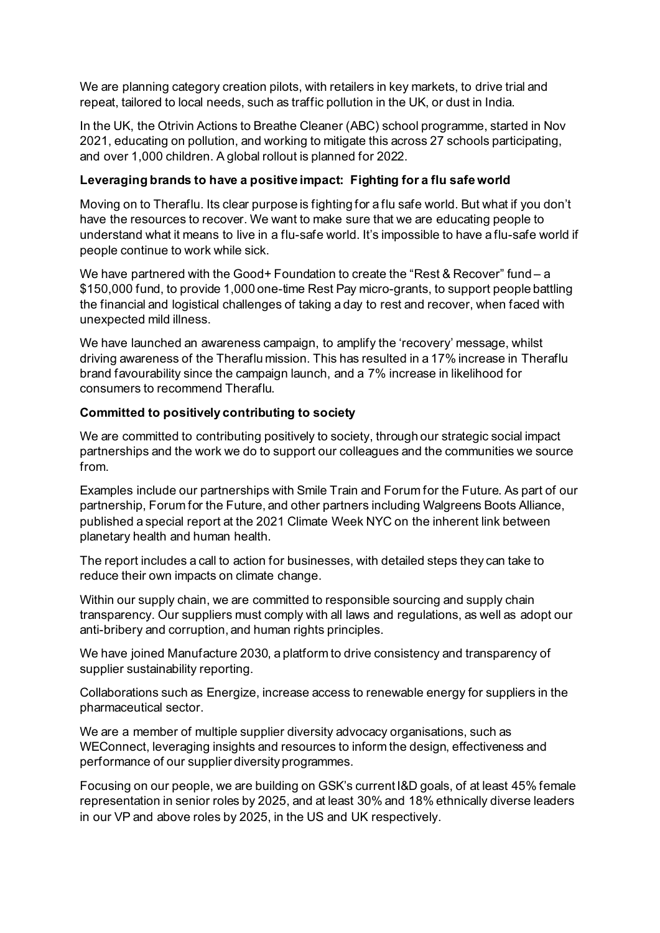We are planning category creation pilots, with retailers in key markets, to drive trial and repeat, tailored to local needs, such as traffic pollution in the UK, or dust in India.

In the UK, the Otrivin Actions to Breathe Cleaner (ABC) school programme, started in Nov 2021, educating on pollution, and working to mitigate this across 27 schools participating, and over 1,000 children. A global rollout is planned for 2022.

# **Leveraging brands to have a positive impact: Fighting for a flu safe world**

Moving on to Theraflu. Its clear purpose is fighting for a flu safe world. But what if you don't have the resources to recover. We want to make sure that we are educating people to understand what it means to live in a flu-safe world. It's impossible to have a flu-safe world if people continue to work while sick.

We have partnered with the Good+ Foundation to create the "Rest & Recover" fund – a \$150,000 fund, to provide 1,000 one-time Rest Pay micro-grants, to support people battling the financial and logistical challenges of taking a day to rest and recover, when faced with unexpected mild illness.

We have launched an awareness campaign, to amplify the 'recovery' message, whilst driving awareness of the Theraflu mission. This has resulted in a 17% increase in Theraflu brand favourability since the campaign launch, and a 7% increase in likelihood for consumers to recommend Theraflu.

# **Committed to positively contributing to society**

We are committed to contributing positively to society, through our strategic social impact partnerships and the work we do to support our colleagues and the communities we source from.

Examples include our partnerships with Smile Train and Forum for the Future. As part of our partnership, Forum for the Future, and other partners including Walgreens Boots Alliance, published a special report at the 2021 Climate Week NYC on the inherent link between planetary health and human health.

The report includes a call to action for businesses, with detailed steps they can take to reduce their own impacts on climate change.

Within our supply chain, we are committed to responsible sourcing and supply chain transparency. Our suppliers must comply with all laws and regulations, as well as adopt our anti-bribery and corruption, and human rights principles.

We have joined Manufacture 2030, a platform to drive consistency and transparency of supplier sustainability reporting.

Collaborations such as Energize, increase access to renewable energy for suppliers in the pharmaceutical sector.

We are a member of multiple supplier diversity advocacy organisations, such as WEConnect, leveraging insights and resources to inform the design, effectiveness and performance of our supplier diversity programmes.

Focusing on our people, we are building on GSK's current I&D goals, of at least 45% female representation in senior roles by 2025, and at least 30% and 18% ethnically diverse leaders in our VP and above roles by 2025, in the US and UK respectively.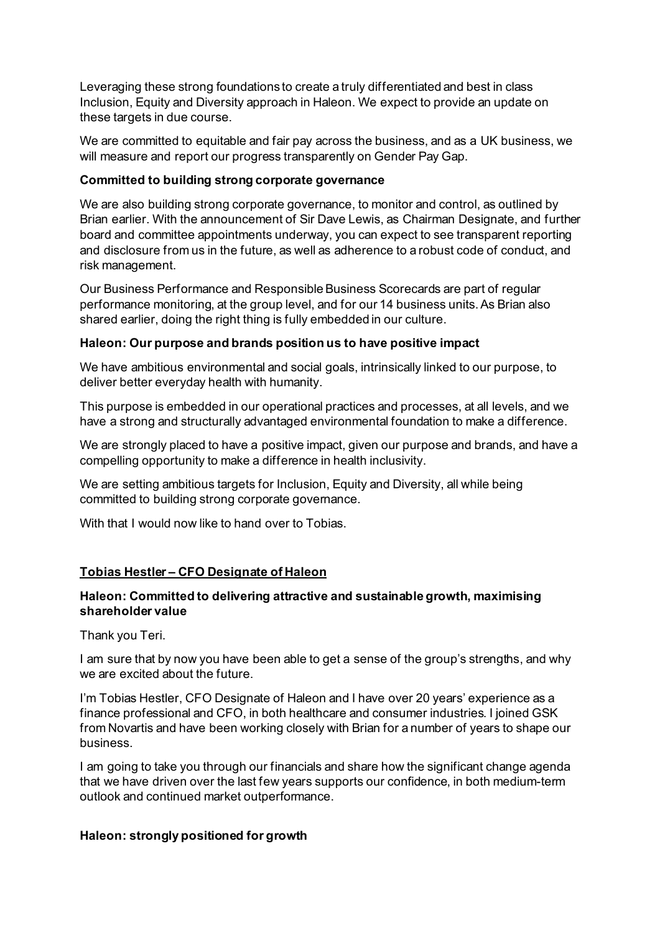Leveraging these strong foundations to create a truly differentiated and best in class Inclusion, Equity and Diversity approach in Haleon. We expect to provide an update on these targets in due course.

We are committed to equitable and fair pay across the business, and as a UK business, we will measure and report our progress transparently on Gender Pay Gap.

# **Committed to building strong corporate governance**

We are also building strong corporate governance, to monitor and control, as outlined by Brian earlier. With the announcement of Sir Dave Lewis, as Chairman Designate, and further board and committee appointments underway, you can expect to see transparent reporting and disclosure from us in the future, as well as adherence to a robust code of conduct, and risk management.

Our Business Performance and Responsible Business Scorecards are part of regular performance monitoring, at the group level, and for our 14 business units. As Brian also shared earlier, doing the right thing is fully embedded in our culture.

# **Haleon: Our purpose and brands position us to have positive impact**

We have ambitious environmental and social goals, intrinsically linked to our purpose, to deliver better everyday health with humanity.

This purpose is embedded in our operational practices and processes, at all levels, and we have a strong and structurally advantaged environmental foundation to make a difference.

We are strongly placed to have a positive impact, given our purpose and brands, and have a compelling opportunity to make a difference in health inclusivity.

We are setting ambitious targets for Inclusion, Equity and Diversity, all while being committed to building strong corporate governance.

With that I would now like to hand over to Tobias.

# **Tobias Hestler – CFO Designate of Haleon**

# **Haleon: Committed to delivering attractive and sustainable growth, maximising shareholder value**

Thank you Teri.

I am sure that by now you have been able to get a sense of the group's strengths, and why we are excited about the future.

I'm Tobias Hestler, CFO Designate of Haleon and I have over 20 years' experience as a finance professional and CFO, in both healthcare and consumer industries. I joined GSK from Novartis and have been working closely with Brian for a number of years to shape our business.

I am going to take you through our financials and share how the significant change agenda that we have driven over the last few years supports our confidence, in both medium-term outlook and continued market outperformance.

## **Haleon: strongly positioned for growth**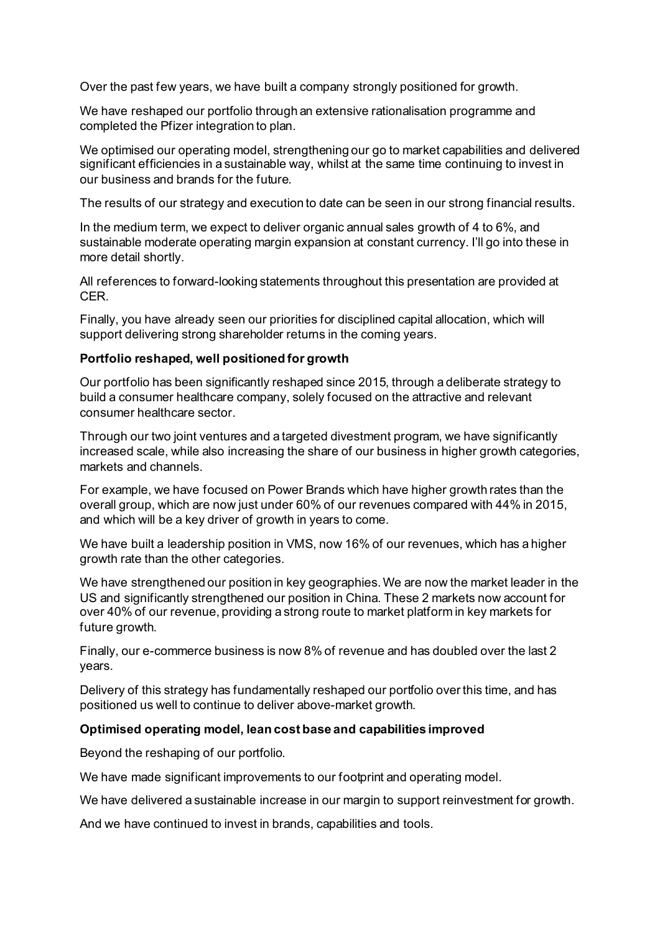Over the past few years, we have built a company strongly positioned for growth.

We have reshaped our portfolio through an extensive rationalisation programme and completed the Pfizer integration to plan.

We optimised our operating model, strengthening our go to market capabilities and delivered significant efficiencies in a sustainable way, whilst at the same time continuing to invest in our business and brands for the future.

The results of our strategy and execution to date can be seen in our strong financial results.

In the medium term, we expect to deliver organic annual sales growth of 4 to 6%, and sustainable moderate operating margin expansion at constant currency. I'll go into these in more detail shortly.

All references to forward-looking statements throughout this presentation are provided at CER.

Finally, you have already seen our priorities for disciplined capital allocation, which will support delivering strong shareholder returns in the coming years.

## **Portfolio reshaped, well positioned for growth**

Our portfolio has been significantly reshaped since 2015, through a deliberate strategy to build a consumer healthcare company, solely focused on the attractive and relevant consumer healthcare sector.

Through our two joint ventures and a targeted divestment program, we have significantly increased scale, while also increasing the share of our business in higher growth categories, markets and channels.

For example, we have focused on Power Brands which have higher growth rates than the overall group, which are now just under 60% of our revenues compared with 44% in 2015, and which will be a key driver of growth in years to come.

We have built a leadership position in VMS, now 16% of our revenues, which has a higher growth rate than the other categories.

We have strengthened our position in key geographies. We are now the market leader in the US and significantly strengthened our position in China. These 2 markets now account for over 40% of our revenue, providing a strong route to market platform in key markets for future growth.

Finally, our e-commerce business is now 8% of revenue and has doubled over the last 2 years.

Delivery of this strategy has fundamentally reshaped our portfolio over this time, and has positioned us well to continue to deliver above-market growth.

## **Optimised operating model, lean cost base and capabilities improved**

Beyond the reshaping of our portfolio.

We have made significant improvements to our footprint and operating model.

We have delivered a sustainable increase in our margin to support reinvestment for growth.

And we have continued to invest in brands, capabilities and tools.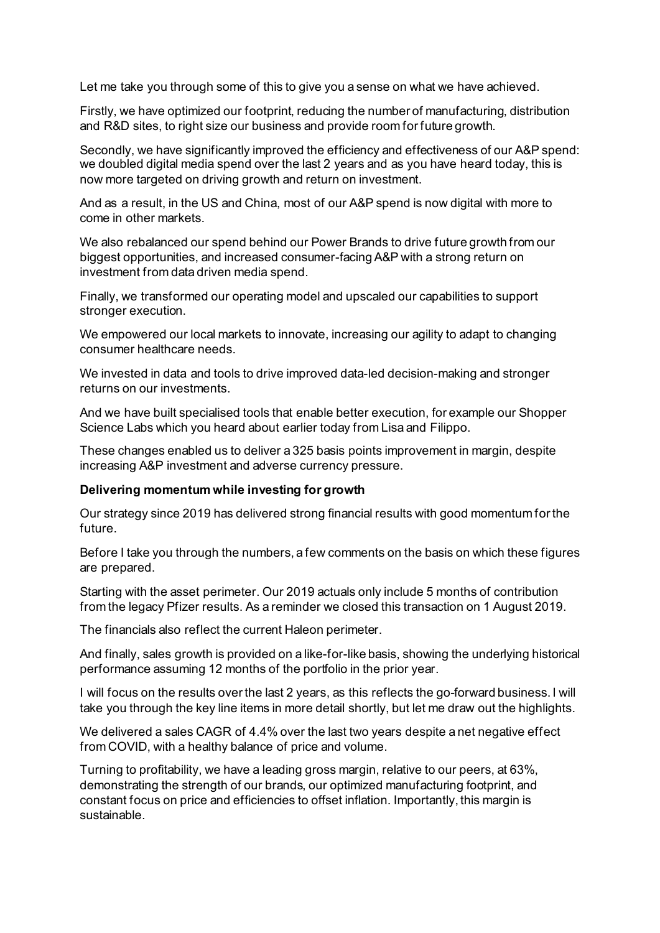Let me take you through some of this to give you a sense on what we have achieved.

Firstly, we have optimized our footprint, reducing the number of manufacturing, distribution and R&D sites, to right size our business and provide room for future growth.

Secondly, we have significantly improved the efficiency and effectiveness of our A&P spend: we doubled digital media spend over the last 2 years and as you have heard today, this is now more targeted on driving growth and return on investment.

And as a result, in the US and China, most of our A&P spend is now digital with more to come in other markets.

We also rebalanced our spend behind our Power Brands to drive future growth from our biggest opportunities, and increased consumer-facing A&P with a strong return on investment from data driven media spend.

Finally, we transformed our operating model and upscaled our capabilities to support stronger execution.

We empowered our local markets to innovate, increasing our agility to adapt to changing consumer healthcare needs.

We invested in data and tools to drive improved data-led decision-making and stronger returns on our investments.

And we have built specialised tools that enable better execution, for example our Shopper Science Labs which you heard about earlier today from Lisa and Filippo.

These changes enabled us to deliver a 325 basis points improvement in margin, despite increasing A&P investment and adverse currency pressure.

## **Delivering momentum while investing for growth**

Our strategy since 2019 has delivered strong financial results with good momentum for the future.

Before I take you through the numbers, a few comments on the basis on which these figures are prepared.

Starting with the asset perimeter. Our 2019 actuals only include 5 months of contribution from the legacy Pfizer results. As a reminder we closed this transaction on 1 August 2019.

The financials also reflect the current Haleon perimeter.

And finally, sales growth is provided on a like-for-like basis, showing the underlying historical performance assuming 12 months of the portfolio in the prior year.

I will focus on the results over the last 2 years, as this reflects the go-forward business. I will take you through the key line items in more detail shortly, but let me draw out the highlights.

We delivered a sales CAGR of 4.4% over the last two years despite a net negative effect from COVID, with a healthy balance of price and volume.

Turning to profitability, we have a leading gross margin, relative to our peers, at 63%, demonstrating the strength of our brands, our optimized manufacturing footprint, and constant focus on price and efficiencies to offset inflation. Importantly, this margin is sustainable.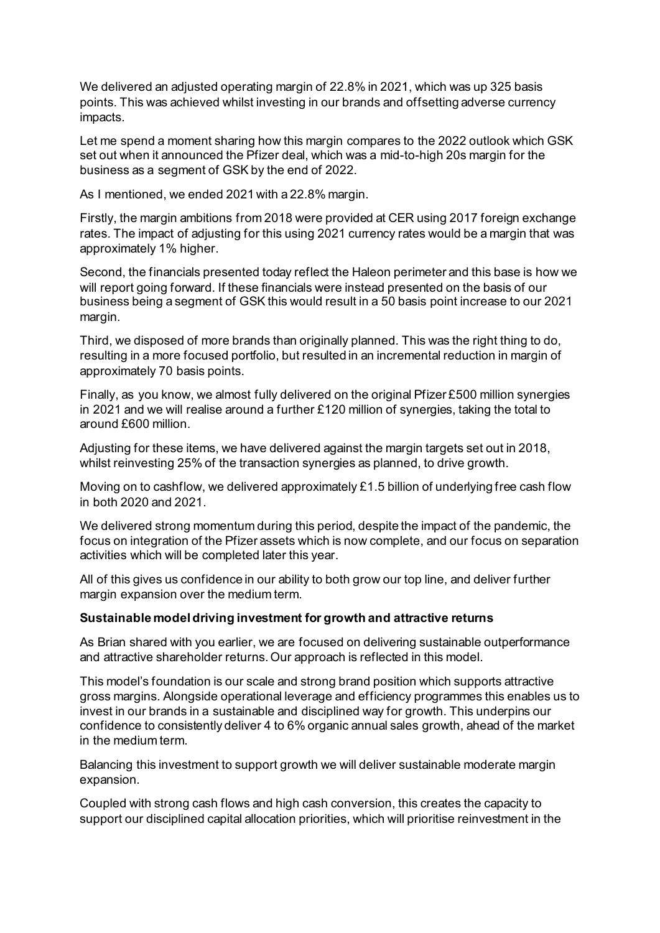We delivered an adjusted operating margin of 22.8% in 2021, which was up 325 basis points. This was achieved whilst investing in our brands and offsetting adverse currency impacts.

Let me spend a moment sharing how this margin compares to the 2022 outlook which GSK set out when it announced the Pfizer deal, which was a mid-to-high 20s margin for the business as a segment of GSK by the end of 2022.

As I mentioned, we ended 2021 with a 22.8% margin.

Firstly, the margin ambitions from 2018 were provided at CER using 2017 foreign exchange rates. The impact of adjusting for this using 2021 currency rates would be a margin that was approximately 1% higher.

Second, the financials presented today reflect the Haleon perimeter and this base is how we will report going forward. If these financials were instead presented on the basis of our business being a segment of GSK this would result in a 50 basis point increase to our 2021 margin.

Third, we disposed of more brands than originally planned. This was the right thing to do, resulting in a more focused portfolio, but resulted in an incremental reduction in margin of approximately 70 basis points.

Finally, as you know, we almost fully delivered on the original Pfizer £500 million synergies in 2021 and we will realise around a further £120 million of synergies, taking the total to around £600 million.

Adjusting for these items, we have delivered against the margin targets set out in 2018, whilst reinvesting 25% of the transaction synergies as planned, to drive growth.

Moving on to cashflow, we delivered approximately £1.5 billion of underlying free cash flow in both 2020 and 2021.

We delivered strong momentum during this period, despite the impact of the pandemic, the focus on integration of the Pfizer assets which is now complete, and our focus on separation activities which will be completed later this year.

All of this gives us confidence in our ability to both grow our top line, and deliver further margin expansion over the medium term.

## **Sustainable model driving investment for growth and attractive returns**

As Brian shared with you earlier, we are focused on delivering sustainable outperformance and attractive shareholder returns. Our approach is reflected in this model.

This model's foundation is our scale and strong brand position which supports attractive gross margins. Alongside operational leverage and efficiency programmes this enables us to invest in our brands in a sustainable and disciplined way for growth. This underpins our confidence to consistently deliver 4 to 6% organic annual sales growth, ahead of the market in the medium term.

Balancing this investment to support growth we will deliver sustainable moderate margin expansion.

Coupled with strong cash flows and high cash conversion, this creates the capacity to support our disciplined capital allocation priorities, which will prioritise reinvestment in the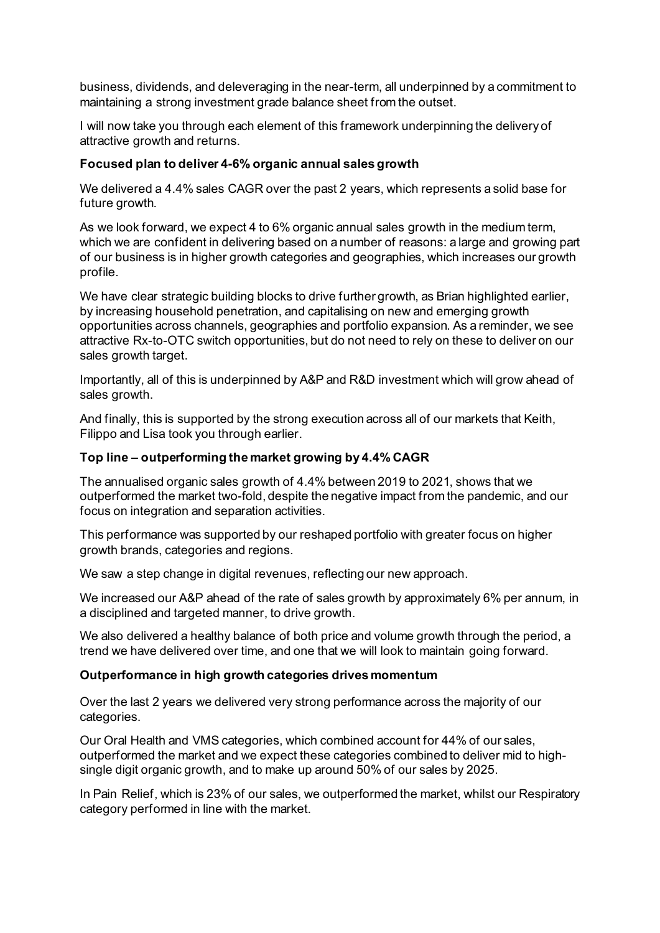business, dividends, and deleveraging in the near-term, all underpinned by a commitment to maintaining a strong investment grade balance sheet from the outset.

I will now take you through each element of this framework underpinning the delivery of attractive growth and returns.

# **Focused plan to deliver 4-6% organic annual sales growth**

We delivered a 4.4% sales CAGR over the past 2 years, which represents a solid base for future growth.

As we look forward, we expect 4 to 6% organic annual sales growth in the medium term, which we are confident in delivering based on a number of reasons: a large and growing part of our business is in higher growth categories and geographies, which increases our growth profile.

We have clear strategic building blocks to drive further growth, as Brian highlighted earlier, by increasing household penetration, and capitalising on new and emerging growth opportunities across channels, geographies and portfolio expansion. As a reminder, we see attractive Rx-to-OTC switch opportunities, but do not need to rely on these to deliver on our sales growth target.

Importantly, all of this is underpinned by A&P and R&D investment which will grow ahead of sales growth.

And finally, this is supported by the strong execution across all of our markets that Keith, Filippo and Lisa took you through earlier.

## **Top line – outperforming the market growing by 4.4% CAGR**

The annualised organic sales growth of 4.4% between 2019 to 2021, shows that we outperformed the market two-fold, despite the negative impact from the pandemic, and our focus on integration and separation activities.

This performance was supported by our reshaped portfolio with greater focus on higher growth brands, categories and regions.

We saw a step change in digital revenues, reflecting our new approach.

We increased our A&P ahead of the rate of sales growth by approximately 6% per annum, in a disciplined and targeted manner, to drive growth.

We also delivered a healthy balance of both price and volume growth through the period, a trend we have delivered over time, and one that we will look to maintain going forward.

## **Outperformance in high growth categories drives momentum**

Over the last 2 years we delivered very strong performance across the majority of our categories.

Our Oral Health and VMS categories, which combined account for 44% of our sales, outperformed the market and we expect these categories combined to deliver mid to highsingle digit organic growth, and to make up around 50% of our sales by 2025.

In Pain Relief, which is 23% of our sales, we outperformed the market, whilst our Respiratory category performed in line with the market.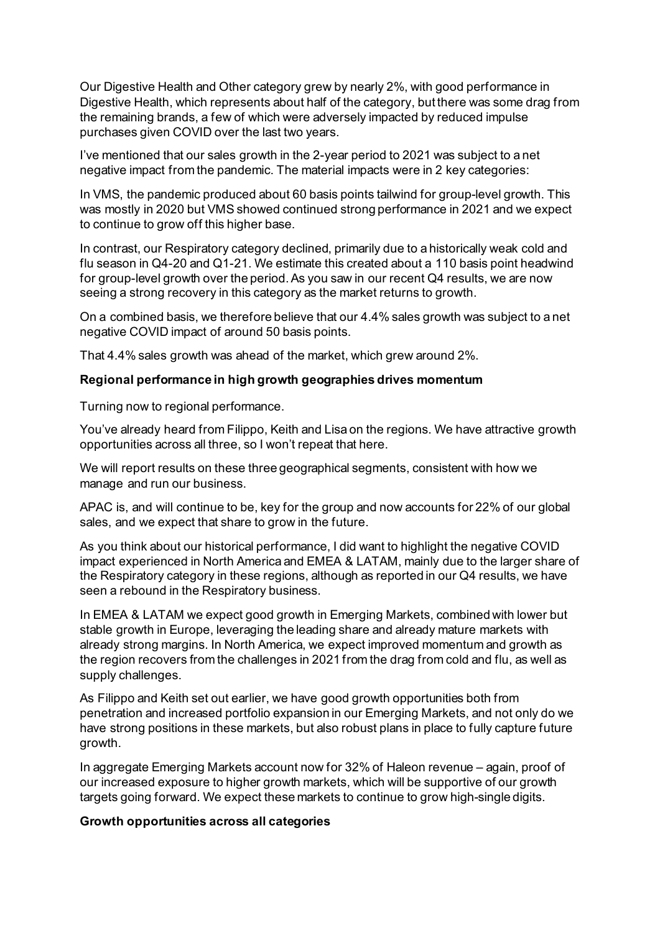Our Digestive Health and Other category grew by nearly 2%, with good performance in Digestive Health, which represents about half of the category, but there was some drag from the remaining brands, a few of which were adversely impacted by reduced impulse purchases given COVID over the last two years.

I've mentioned that our sales growth in the 2-year period to 2021 was subject to a net negative impact from the pandemic. The material impacts were in 2 key categories:

In VMS, the pandemic produced about 60 basis points tailwind for group-level growth. This was mostly in 2020 but VMS showed continued strong performance in 2021 and we expect to continue to grow off this higher base.

In contrast, our Respiratory category declined, primarily due to a historically weak cold and flu season in Q4-20 and Q1-21. We estimate this created about a 110 basis point headwind for group-level growth over the period. As you saw in our recent Q4 results, we are now seeing a strong recovery in this category as the market returns to growth.

On a combined basis, we therefore believe that our 4.4% sales growth was subject to a net negative COVID impact of around 50 basis points.

That 4.4% sales growth was ahead of the market, which grew around 2%.

## **Regional performance in high growth geographies drives momentum**

Turning now to regional performance.

You've already heard from Filippo, Keith and Lisa on the regions. We have attractive growth opportunities across all three, so I won't repeat that here.

We will report results on these three geographical segments, consistent with how we manage and run our business.

APAC is, and will continue to be, key for the group and now accounts for 22% of our global sales, and we expect that share to grow in the future.

As you think about our historical performance, I did want to highlight the negative COVID impact experienced in North America and EMEA & LATAM, mainly due to the larger share of the Respiratory category in these regions, although as reported in our Q4 results, we have seen a rebound in the Respiratory business.

In EMEA & LATAM we expect good growth in Emerging Markets, combined with lower but stable growth in Europe, leveraging the leading share and already mature markets with already strong margins. In North America, we expect improved momentum and growth as the region recovers from the challenges in 2021 from the drag from cold and flu, as well as supply challenges.

As Filippo and Keith set out earlier, we have good growth opportunities both from penetration and increased portfolio expansion in our Emerging Markets, and not only do we have strong positions in these markets, but also robust plans in place to fully capture future growth.

In aggregate Emerging Markets account now for 32% of Haleon revenue – again, proof of our increased exposure to higher growth markets, which will be supportive of our growth targets going forward. We expect these markets to continue to grow high-single digits.

## **Growth opportunities across all categories**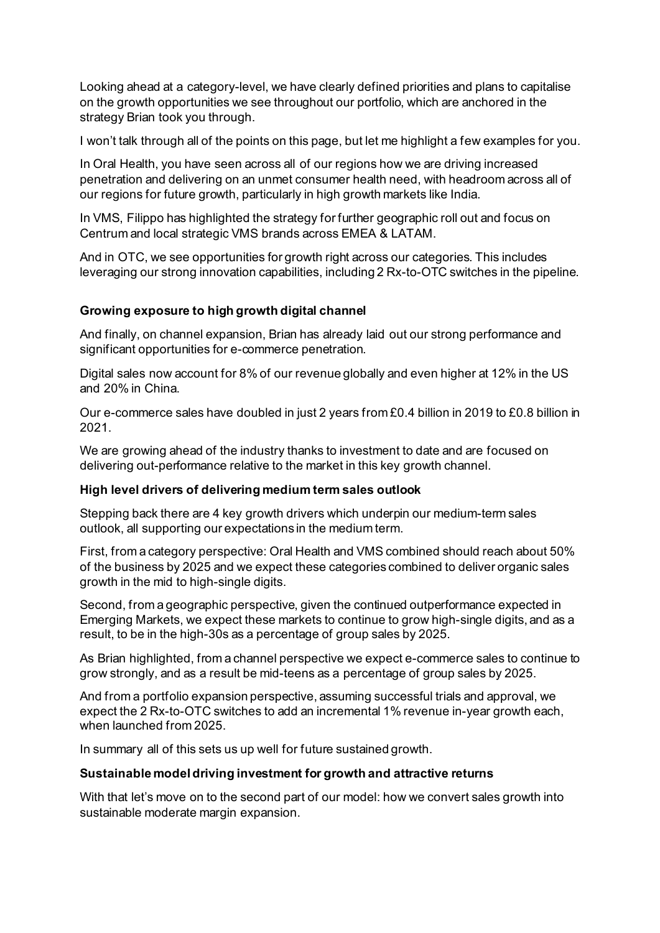Looking ahead at a category-level, we have clearly defined priorities and plans to capitalise on the growth opportunities we see throughout our portfolio, which are anchored in the strategy Brian took you through.

I won't talk through all of the points on this page, but let me highlight a few examples for you.

In Oral Health, you have seen across all of our regions how we are driving increased penetration and delivering on an unmet consumer health need, with headroom across all of our regions for future growth, particularly in high growth markets like India.

In VMS, Filippo has highlighted the strategy for further geographic roll out and focus on Centrum and local strategic VMS brands across EMEA & LATAM.

And in OTC, we see opportunities for growth right across our categories. This includes leveraging our strong innovation capabilities, including 2 Rx-to-OTC switches in the pipeline.

# **Growing exposure to high growth digital channel**

And finally, on channel expansion, Brian has already laid out our strong performance and significant opportunities for e-commerce penetration.

Digital sales now account for 8% of our revenue globally and even higher at 12% in the US and 20% in China.

Our e-commerce sales have doubled in just 2 years from £0.4 billion in 2019 to £0.8 billion in 2021.

We are growing ahead of the industry thanks to investment to date and are focused on delivering out-performance relative to the market in this key growth channel.

## **High level drivers of delivering medium term sales outlook**

Stepping back there are 4 key growth drivers which underpin our medium-term sales outlook, all supporting our expectations in the medium term.

First, from a category perspective: Oral Health and VMS combined should reach about 50% of the business by 2025 and we expect these categories combined to deliver organic sales growth in the mid to high-single digits.

Second, from a geographic perspective, given the continued outperformance expected in Emerging Markets, we expect these markets to continue to grow high-single digits, and as a result, to be in the high-30s as a percentage of group sales by 2025.

As Brian highlighted, from a channel perspective we expect e-commerce sales to continue to grow strongly, and as a result be mid-teens as a percentage of group sales by 2025.

And from a portfolio expansion perspective, assuming successful trials and approval, we expect the 2 Rx-to-OTC switches to add an incremental 1% revenue in-year growth each, when launched from 2025.

In summary all of this sets us up well for future sustained growth.

## **Sustainable model driving investment for growth and attractive returns**

With that let's move on to the second part of our model: how we convert sales growth into sustainable moderate margin expansion.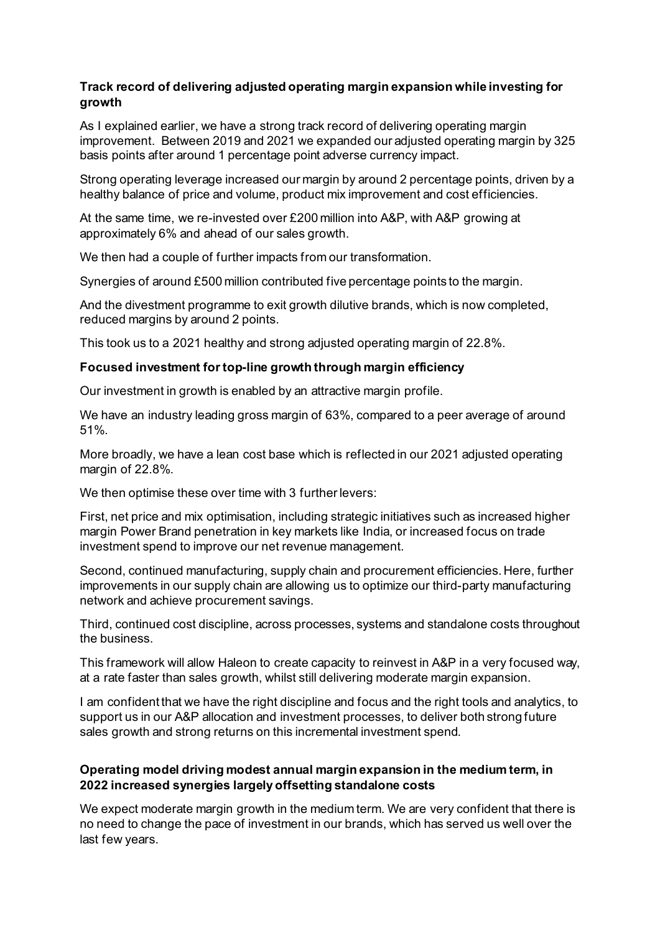# **Track record of delivering adjusted operating margin expansion while investing for growth**

As I explained earlier, we have a strong track record of delivering operating margin improvement. Between 2019 and 2021 we expanded our adjusted operating margin by 325 basis points after around 1 percentage point adverse currency impact.

Strong operating leverage increased our margin by around 2 percentage points, driven by a healthy balance of price and volume, product mix improvement and cost efficiencies.

At the same time, we re-invested over £200 million into A&P, with A&P growing at approximately 6% and ahead of our sales growth.

We then had a couple of further impacts from our transformation.

Synergies of around £500 million contributed five percentage points to the margin.

And the divestment programme to exit growth dilutive brands, which is now completed, reduced margins by around 2 points.

This took us to a 2021 healthy and strong adjusted operating margin of 22.8%.

## **Focused investment for top-line growth through margin efficiency**

Our investment in growth is enabled by an attractive margin profile.

We have an industry leading gross margin of 63%, compared to a peer average of around 51%.

More broadly, we have a lean cost base which is reflected in our 2021 adjusted operating margin of 22.8%.

We then optimise these over time with 3 further levers:

First, net price and mix optimisation, including strategic initiatives such as increased higher margin Power Brand penetration in key markets like India, or increased focus on trade investment spend to improve our net revenue management.

Second, continued manufacturing, supply chain and procurement efficiencies. Here, further improvements in our supply chain are allowing us to optimize our third-party manufacturing network and achieve procurement savings.

Third, continued cost discipline, across processes, systems and standalone costs throughout the business.

This framework will allow Haleon to create capacity to reinvest in A&P in a very focused way, at a rate faster than sales growth, whilst still delivering moderate margin expansion.

I am confident that we have the right discipline and focus and the right tools and analytics, to support us in our A&P allocation and investment processes, to deliver both strong future sales growth and strong returns on this incremental investment spend.

# **Operating model driving modest annual margin expansion in the medium term, in 2022 increased synergies largely offsetting standalone costs**

We expect moderate margin growth in the medium term. We are very confident that there is no need to change the pace of investment in our brands, which has served us well over the last few years.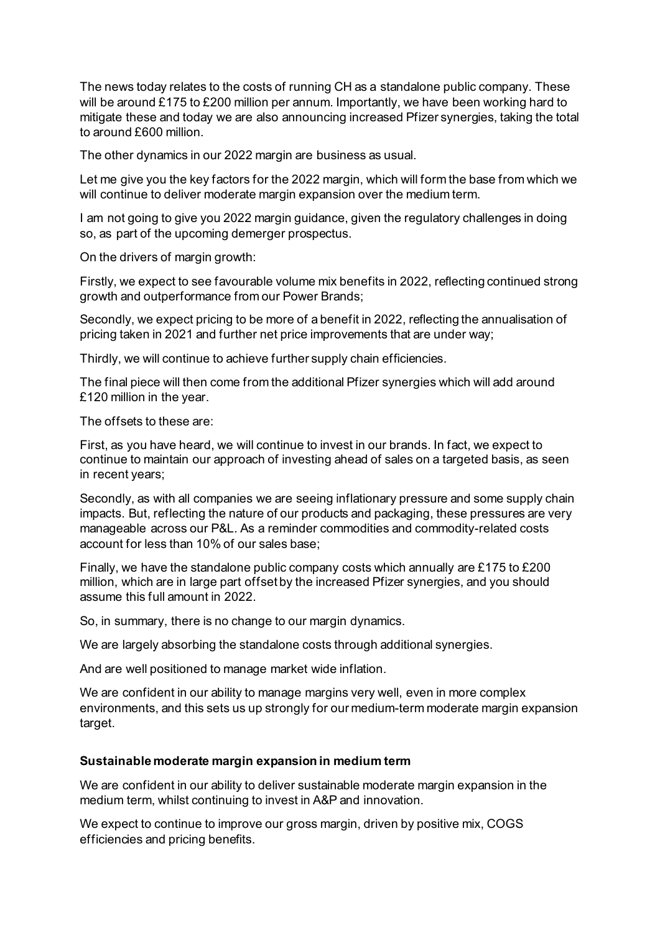The news today relates to the costs of running CH as a standalone public company. These will be around £175 to £200 million per annum. Importantly, we have been working hard to mitigate these and today we are also announcing increased Pfizer synergies, taking the total to around £600 million.

The other dynamics in our 2022 margin are business as usual.

Let me give you the key factors for the 2022 margin, which will form the base from which we will continue to deliver moderate margin expansion over the medium term.

I am not going to give you 2022 margin guidance, given the regulatory challenges in doing so, as part of the upcoming demerger prospectus.

On the drivers of margin growth:

Firstly, we expect to see favourable volume mix benefits in 2022, reflecting continued strong growth and outperformance from our Power Brands;

Secondly, we expect pricing to be more of a benefit in 2022, reflecting the annualisation of pricing taken in 2021 and further net price improvements that are under way;

Thirdly, we will continue to achieve further supply chain efficiencies.

The final piece will then come from the additional Pfizer synergies which will add around £120 million in the year.

The offsets to these are:

First, as you have heard, we will continue to invest in our brands. In fact, we expect to continue to maintain our approach of investing ahead of sales on a targeted basis, as seen in recent years;

Secondly, as with all companies we are seeing inflationary pressure and some supply chain impacts. But, reflecting the nature of our products and packaging, these pressures are very manageable across our P&L. As a reminder commodities and commodity-related costs account for less than 10% of our sales base;

Finally, we have the standalone public company costs which annually are £175 to £200 million, which are in large part offset by the increased Pfizer synergies, and you should assume this full amount in 2022.

So, in summary, there is no change to our margin dynamics.

We are largely absorbing the standalone costs through additional synergies.

And are well positioned to manage market wide inflation.

We are confident in our ability to manage margins very well, even in more complex environments, and this sets us up strongly for our medium-term moderate margin expansion target.

## **Sustainable moderate margin expansion in medium term**

We are confident in our ability to deliver sustainable moderate margin expansion in the medium term, whilst continuing to invest in A&P and innovation.

We expect to continue to improve our gross margin, driven by positive mix, COGS efficiencies and pricing benefits.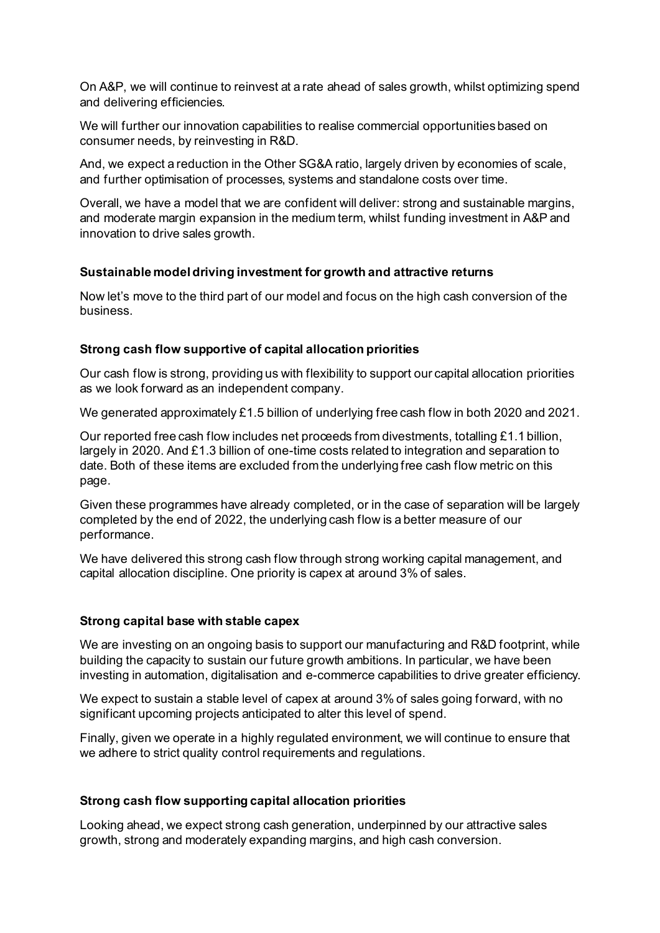On A&P, we will continue to reinvest at a rate ahead of sales growth, whilst optimizing spend and delivering efficiencies.

We will further our innovation capabilities to realise commercial opportunities based on consumer needs, by reinvesting in R&D.

And, we expect a reduction in the Other SG&A ratio, largely driven by economies of scale, and further optimisation of processes, systems and standalone costs over time.

Overall, we have a model that we are confident will deliver: strong and sustainable margins, and moderate margin expansion in the medium term, whilst funding investment in A&P and innovation to drive sales growth.

# **Sustainable model driving investment for growth and attractive returns**

Now let's move to the third part of our model and focus on the high cash conversion of the business.

## **Strong cash flow supportive of capital allocation priorities**

Our cash flow is strong, providing us with flexibility to support our capital allocation priorities as we look forward as an independent company.

We generated approximately £1.5 billion of underlying free cash flow in both 2020 and 2021.

Our reported free cash flow includes net proceeds from divestments, totalling £1.1 billion, largely in 2020. And £1.3 billion of one-time costs related to integration and separation to date. Both of these items are excluded from the underlying free cash flow metric on this page.

Given these programmes have already completed, or in the case of separation will be largely completed by the end of 2022, the underlying cash flow is a better measure of our performance.

We have delivered this strong cash flow through strong working capital management, and capital allocation discipline. One priority is capex at around 3% of sales.

## **Strong capital base with stable capex**

We are investing on an ongoing basis to support our manufacturing and R&D footprint, while building the capacity to sustain our future growth ambitions. In particular, we have been investing in automation, digitalisation and e-commerce capabilities to drive greater efficiency.

We expect to sustain a stable level of capex at around 3% of sales going forward, with no significant upcoming projects anticipated to alter this level of spend.

Finally, given we operate in a highly regulated environment, we will continue to ensure that we adhere to strict quality control requirements and regulations.

## **Strong cash flow supporting capital allocation priorities**

Looking ahead, we expect strong cash generation, underpinned by our attractive sales growth, strong and moderately expanding margins, and high cash conversion.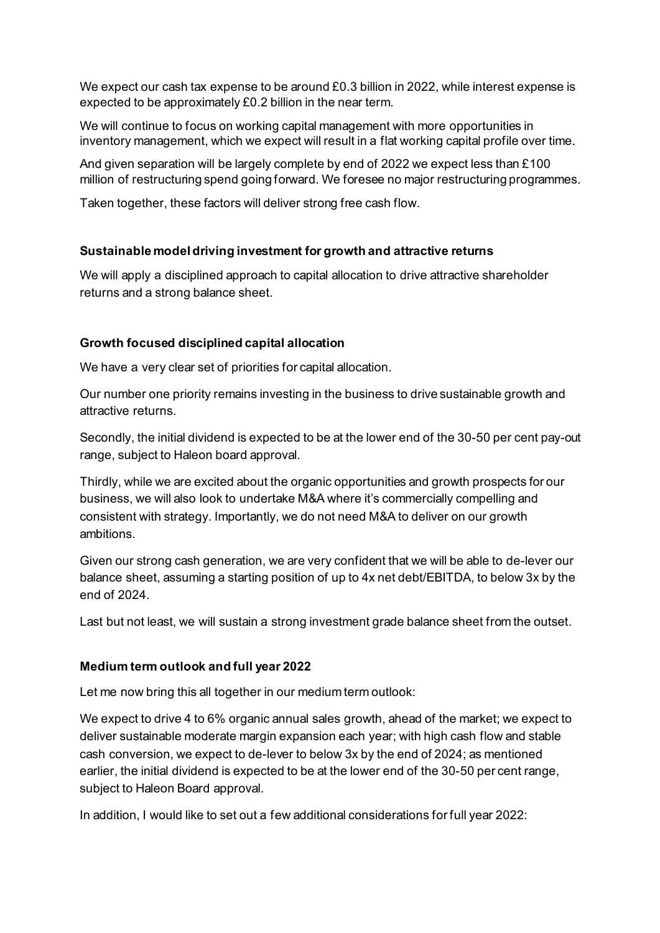We expect our cash tax expense to be around £0.3 billion in 2022, while interest expense is expected to be approximately £0.2 billion in the near term.

We will continue to focus on working capital management with more opportunities in inventory management, which we expect will result in a flat working capital profile over time.

And given separation will be largely complete by end of 2022 we expect less than £100 million of restructuring spend going forward. We foresee no major restructuring programmes.

Taken together, these factors will deliver strong free cash flow.

# **Sustainable model driving investment for growth and attractive returns**

We will apply a disciplined approach to capital allocation to drive attractive shareholder returns and a strong balance sheet.

# **Growth focused disciplined capital allocation**

We have a very clear set of priorities for capital allocation.

Our number one priority remains investing in the business to drive sustainable growth and attractive returns.

Secondly, the initial dividend is expected to be at the lower end of the 30-50 per cent pay-out range, subject to Haleon board approval.

Thirdly, while we are excited about the organic opportunities and growth prospects for our business, we will also look to undertake M&A where it's commercially compelling and consistent with strategy. Importantly, we do not need M&A to deliver on our growth ambitions.

Given our strong cash generation, we are very confident that we will be able to de-lever our balance sheet, assuming a starting position of up to 4x net debt/EBITDA, to below 3x by the end of 2024.

Last but not least, we will sustain a strong investment grade balance sheet from the outset.

## **Medium term outlook and full year 2022**

Let me now bring this all together in our medium term outlook:

We expect to drive 4 to 6% organic annual sales growth, ahead of the market; we expect to deliver sustainable moderate margin expansion each year; with high cash flow and stable cash conversion, we expect to de-lever to below 3x by the end of 2024; as mentioned earlier, the initial dividend is expected to be at the lower end of the 30-50 per cent range, subject to Haleon Board approval.

In addition, I would like to set out a few additional considerations for full year 2022: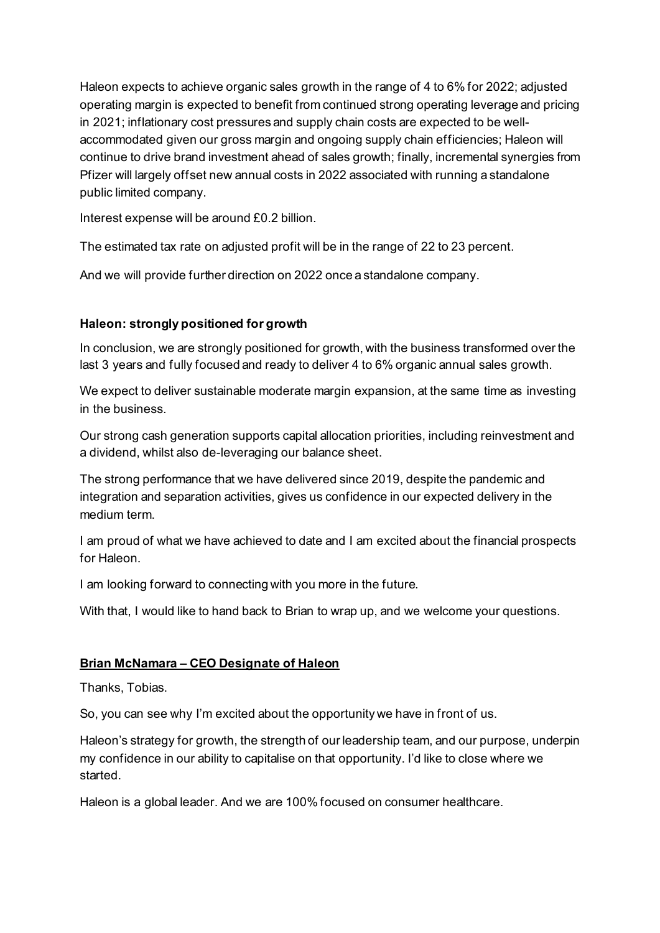Haleon expects to achieve organic sales growth in the range of 4 to 6% for 2022; adjusted operating margin is expected to benefit from continued strong operating leverage and pricing in 2021; inflationary cost pressures and supply chain costs are expected to be wellaccommodated given our gross margin and ongoing supply chain efficiencies; Haleon will continue to drive brand investment ahead of sales growth; finally, incremental synergies from Pfizer will largely offset new annual costs in 2022 associated with running a standalone public limited company.

Interest expense will be around £0.2 billion.

The estimated tax rate on adjusted profit will be in the range of 22 to 23 percent.

And we will provide further direction on 2022 once a standalone company.

# **Haleon: strongly positioned for growth**

In conclusion, we are strongly positioned for growth, with the business transformed over the last 3 years and fully focused and ready to deliver 4 to 6% organic annual sales growth.

We expect to deliver sustainable moderate margin expansion, at the same time as investing in the business.

Our strong cash generation supports capital allocation priorities, including reinvestment and a dividend, whilst also de-leveraging our balance sheet.

The strong performance that we have delivered since 2019, despite the pandemic and integration and separation activities, gives us confidence in our expected delivery in the medium term.

I am proud of what we have achieved to date and I am excited about the financial prospects for Haleon.

I am looking forward to connecting with you more in the future.

With that, I would like to hand back to Brian to wrap up, and we welcome your questions.

# **Brian McNamara – CEO Designate of Haleon**

Thanks, Tobias.

So, you can see why I'm excited about the opportunity we have in front of us.

Haleon's strategy for growth, the strength of our leadership team, and our purpose, underpin my confidence in our ability to capitalise on that opportunity. I'd like to close where we started.

Haleon is a global leader. And we are 100% focused on consumer healthcare.